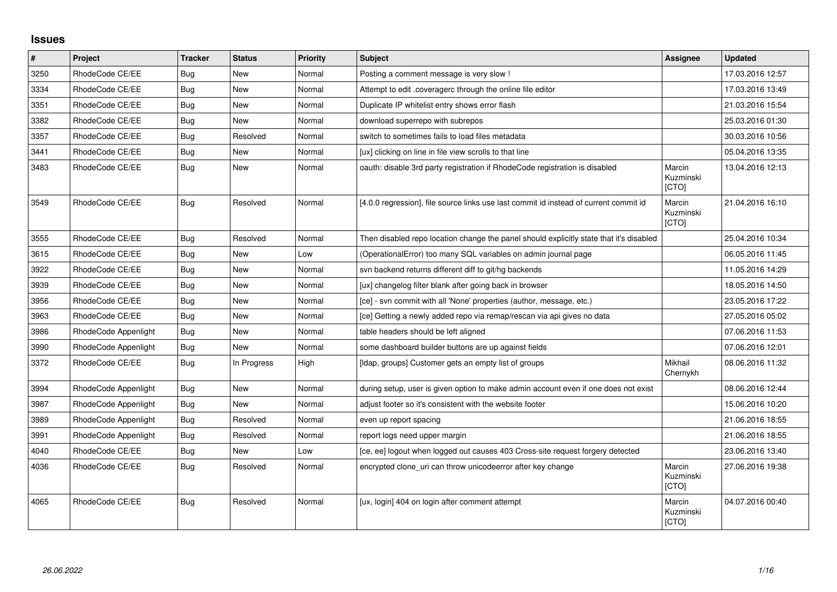## **Issues**

| $\vert$ # | Project              | <b>Tracker</b> | <b>Status</b> | <b>Priority</b> | <b>Subject</b>                                                                          | Assignee                     | <b>Updated</b>   |
|-----------|----------------------|----------------|---------------|-----------------|-----------------------------------------------------------------------------------------|------------------------------|------------------|
| 3250      | RhodeCode CE/EE      | Bug            | <b>New</b>    | Normal          | Posting a comment message is very slow !                                                |                              | 17.03.2016 12:57 |
| 3334      | RhodeCode CE/EE      | Bug            | <b>New</b>    | Normal          | Attempt to edit .coveragerc through the online file editor                              |                              | 17.03.2016 13:49 |
| 3351      | RhodeCode CE/EE      | Bug            | <b>New</b>    | Normal          | Duplicate IP whitelist entry shows error flash                                          |                              | 21.03.2016 15:54 |
| 3382      | RhodeCode CE/EE      | <b>Bug</b>     | <b>New</b>    | Normal          | download superrepo with subrepos                                                        |                              | 25.03.2016 01:30 |
| 3357      | RhodeCode CE/EE      | Bug            | Resolved      | Normal          | switch to sometimes fails to load files metadata                                        |                              | 30.03.2016 10:56 |
| 3441      | RhodeCode CE/EE      | Bug            | <b>New</b>    | Normal          | [ux] clicking on line in file view scrolls to that line                                 |                              | 05.04.2016 13:35 |
| 3483      | RhodeCode CE/EE      | Bug            | <b>New</b>    | Normal          | oauth: disable 3rd party registration if RhodeCode registration is disabled             | Marcin<br>Kuzminski<br>[CTO] | 13.04.2016 12:13 |
| 3549      | RhodeCode CE/EE      | <b>Bug</b>     | Resolved      | Normal          | [4.0.0 regression], file source links use last commit id instead of current commit id   | Marcin<br>Kuzminski<br>[CTO] | 21.04.2016 16:10 |
| 3555      | RhodeCode CE/EE      | Bug            | Resolved      | Normal          | Then disabled repo location change the panel should explicitly state that it's disabled |                              | 25.04.2016 10:34 |
| 3615      | RhodeCode CE/EE      | Bug            | New           | Low             | (OperationalError) too many SQL variables on admin journal page                         |                              | 06.05.2016 11:45 |
| 3922      | RhodeCode CE/EE      | Bug            | New           | Normal          | svn backend returns different diff to git/hg backends                                   |                              | 11.05.2016 14:29 |
| 3939      | RhodeCode CE/EE      | <b>Bug</b>     | <b>New</b>    | Normal          | [ux] changelog filter blank after going back in browser                                 |                              | 18.05.2016 14:50 |
| 3956      | RhodeCode CE/EE      | Bug            | <b>New</b>    | Normal          | [ce] - svn commit with all 'None' properties (author, message, etc.)                    |                              | 23.05.2016 17:22 |
| 3963      | RhodeCode CE/EE      | Bug            | <b>New</b>    | Normal          | [ce] Getting a newly added repo via remap/rescan via api gives no data                  |                              | 27.05.2016 05:02 |
| 3986      | RhodeCode Appenlight | Bug            | New           | Normal          | table headers should be left aligned                                                    |                              | 07.06.2016 11:53 |
| 3990      | RhodeCode Appenlight | Bug            | <b>New</b>    | Normal          | some dashboard builder buttons are up against fields                                    |                              | 07.06.2016 12:01 |
| 3372      | RhodeCode CE/EE      | Bug            | In Progress   | High            | [Idap, groups] Customer gets an empty list of groups                                    | Mikhail<br>Chernykh          | 08.06.2016 11:32 |
| 3994      | RhodeCode Appenlight | Bug            | <b>New</b>    | Normal          | during setup, user is given option to make admin account even if one does not exist     |                              | 08.06.2016 12:44 |
| 3987      | RhodeCode Appenlight | Bug            | <b>New</b>    | Normal          | adjust footer so it's consistent with the website footer                                |                              | 15.06.2016 10:20 |
| 3989      | RhodeCode Appenlight | Bug            | Resolved      | Normal          | even up report spacing                                                                  |                              | 21.06.2016 18:55 |
| 3991      | RhodeCode Appenlight | Bug            | Resolved      | Normal          | report logs need upper margin                                                           |                              | 21.06.2016 18:55 |
| 4040      | RhodeCode CE/EE      | Bug            | <b>New</b>    | Low             | [ce, ee] logout when logged out causes 403 Cross-site request forgery detected          |                              | 23.06.2016 13:40 |
| 4036      | RhodeCode CE/EE      | Bug            | Resolved      | Normal          | encrypted clone_uri can throw unicodeerror after key change                             | Marcin<br>Kuzminski<br>[CTO] | 27.06.2016 19:38 |
| 4065      | RhodeCode CE/EE      | <b>Bug</b>     | Resolved      | Normal          | [ux, login] 404 on login after comment attempt                                          | Marcin<br>Kuzminski<br>[CTO] | 04.07.2016 00:40 |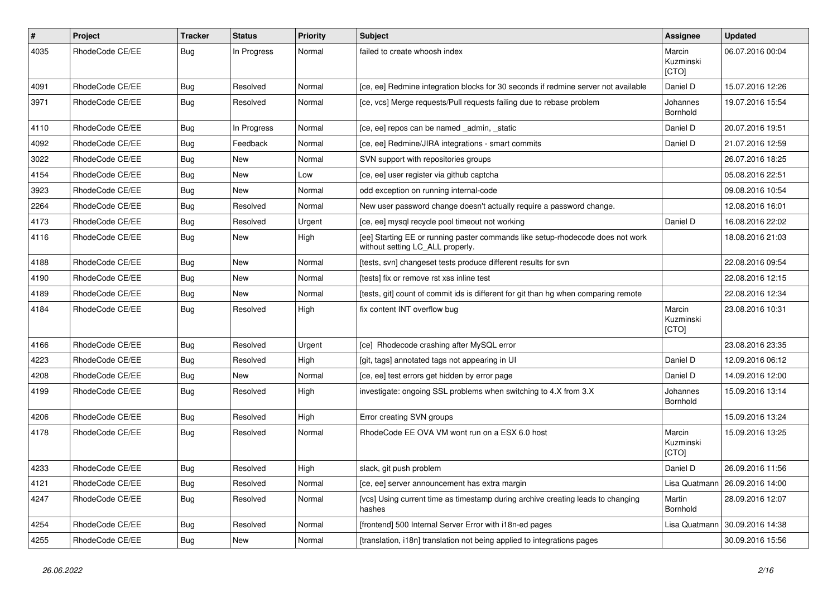| $\pmb{\#}$ | Project         | <b>Tracker</b> | <b>Status</b> | <b>Priority</b> | <b>Subject</b>                                                                                                     | Assignee                     | <b>Updated</b>   |
|------------|-----------------|----------------|---------------|-----------------|--------------------------------------------------------------------------------------------------------------------|------------------------------|------------------|
| 4035       | RhodeCode CE/EE | Bug            | In Progress   | Normal          | failed to create whoosh index                                                                                      | Marcin<br>Kuzminski<br>[CTO] | 06.07.2016 00:04 |
| 4091       | RhodeCode CE/EE | Bug            | Resolved      | Normal          | [ce, ee] Redmine integration blocks for 30 seconds if redmine server not available                                 | Daniel D                     | 15.07.2016 12:26 |
| 3971       | RhodeCode CE/EE | Bug            | Resolved      | Normal          | [ce, vcs] Merge requests/Pull requests failing due to rebase problem                                               | Johannes<br>Bornhold         | 19.07.2016 15:54 |
| 4110       | RhodeCode CE/EE | Bug            | In Progress   | Normal          | [ce, ee] repos can be named _admin, _static                                                                        | Daniel D                     | 20.07.2016 19:51 |
| 4092       | RhodeCode CE/EE | <b>Bug</b>     | Feedback      | Normal          | [ce, ee] Redmine/JIRA integrations - smart commits                                                                 | Daniel D                     | 21.07.2016 12:59 |
| 3022       | RhodeCode CE/EE | Bug            | <b>New</b>    | Normal          | SVN support with repositories groups                                                                               |                              | 26.07.2016 18:25 |
| 4154       | RhodeCode CE/EE | Bug            | New           | Low             | [ce, ee] user register via github captcha                                                                          |                              | 05.08.2016 22:51 |
| 3923       | RhodeCode CE/EE | <b>Bug</b>     | <b>New</b>    | Normal          | odd exception on running internal-code                                                                             |                              | 09.08.2016 10:54 |
| 2264       | RhodeCode CE/EE | <b>Bug</b>     | Resolved      | Normal          | New user password change doesn't actually require a password change.                                               |                              | 12.08.2016 16:01 |
| 4173       | RhodeCode CE/EE | Bug            | Resolved      | Urgent          | [ce, ee] mysql recycle pool timeout not working                                                                    | Daniel D                     | 16.08.2016 22:02 |
| 4116       | RhodeCode CE/EE | Bug            | New           | High            | [ee] Starting EE or running paster commands like setup-rhodecode does not work<br>without setting LC_ALL properly. |                              | 18.08.2016 21:03 |
| 4188       | RhodeCode CE/EE | Bug            | New           | Normal          | [tests, svn] changeset tests produce different results for svn                                                     |                              | 22.08.2016 09:54 |
| 4190       | RhodeCode CE/EE | Bug            | New           | Normal          | [tests] fix or remove rst xss inline test                                                                          |                              | 22.08.2016 12:15 |
| 4189       | RhodeCode CE/EE | <b>Bug</b>     | New           | Normal          | [tests, git] count of commit ids is different for git than hg when comparing remote                                |                              | 22.08.2016 12:34 |
| 4184       | RhodeCode CE/EE | Bug            | Resolved      | High            | fix content INT overflow bug                                                                                       | Marcin<br>Kuzminski<br>[CTO] | 23.08.2016 10:31 |
| 4166       | RhodeCode CE/EE | Bug            | Resolved      | Urgent          | [ce] Rhodecode crashing after MySQL error                                                                          |                              | 23.08.2016 23:35 |
| 4223       | RhodeCode CE/EE | <b>Bug</b>     | Resolved      | High            | [git, tags] annotated tags not appearing in UI                                                                     | Daniel D                     | 12.09.2016 06:12 |
| 4208       | RhodeCode CE/EE | <b>Bug</b>     | New           | Normal          | [ce, ee] test errors get hidden by error page                                                                      | Daniel D                     | 14.09.2016 12:00 |
| 4199       | RhodeCode CE/EE | Bug            | Resolved      | High            | investigate: ongoing SSL problems when switching to 4.X from 3.X                                                   | Johannes<br>Bornhold         | 15.09.2016 13:14 |
| 4206       | RhodeCode CE/EE | Bug            | Resolved      | High            | Error creating SVN groups                                                                                          |                              | 15.09.2016 13:24 |
| 4178       | RhodeCode CE/EE | Bug            | Resolved      | Normal          | RhodeCode EE OVA VM wont run on a ESX 6.0 host                                                                     | Marcin<br>Kuzminski<br>[CTO] | 15.09.2016 13:25 |
| 4233       | RhodeCode CE/EE | Bug            | Resolved      | High            | slack, git push problem                                                                                            | Daniel D                     | 26.09.2016 11:56 |
| 4121       | RhodeCode CE/EE | Bug            | Resolved      | Normal          | [ce, ee] server announcement has extra margin                                                                      | Lisa Quatmann                | 26.09.2016 14:00 |
| 4247       | RhodeCode CE/EE | Bug            | Resolved      | Normal          | [vcs] Using current time as timestamp during archive creating leads to changing<br>hashes                          | Martin<br>Bornhold           | 28.09.2016 12:07 |
| 4254       | RhodeCode CE/EE | <b>Bug</b>     | Resolved      | Normal          | [frontend] 500 Internal Server Error with i18n-ed pages                                                            | Lisa Quatmann                | 30.09.2016 14:38 |
| 4255       | RhodeCode CE/EE | Bug            | <b>New</b>    | Normal          | [translation, i18n] translation not being applied to integrations pages                                            |                              | 30.09.2016 15:56 |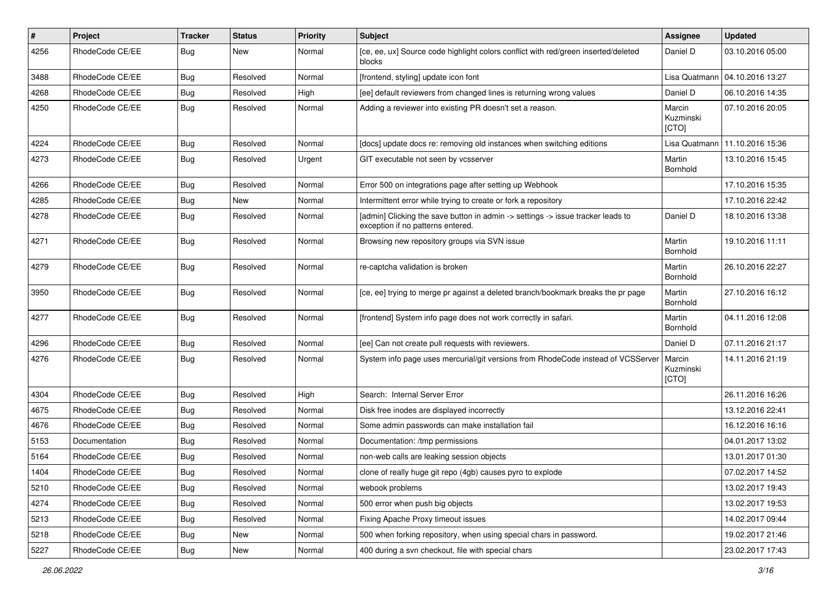| $\pmb{\#}$ | Project         | Tracker    | <b>Status</b> | <b>Priority</b> | Subject                                                                                                              | Assignee                     | <b>Updated</b>                   |
|------------|-----------------|------------|---------------|-----------------|----------------------------------------------------------------------------------------------------------------------|------------------------------|----------------------------------|
| 4256       | RhodeCode CE/EE | <b>Bug</b> | New           | Normal          | [ce, ee, ux] Source code highlight colors conflict with red/green inserted/deleted<br>blocks                         | Daniel D                     | 03.10.2016 05:00                 |
| 3488       | RhodeCode CE/EE | <b>Bug</b> | Resolved      | Normal          | [frontend, styling] update icon font                                                                                 |                              | Lisa Quatmann   04.10.2016 13:27 |
| 4268       | RhodeCode CE/EE | <b>Bug</b> | Resolved      | High            | [ee] default reviewers from changed lines is returning wrong values                                                  | Daniel D                     | 06.10.2016 14:35                 |
| 4250       | RhodeCode CE/EE | <b>Bug</b> | Resolved      | Normal          | Adding a reviewer into existing PR doesn't set a reason.                                                             | Marcin<br>Kuzminski<br>[CTO] | 07.10.2016 20:05                 |
| 4224       | RhodeCode CE/EE | Bug        | Resolved      | Normal          | [docs] update docs re: removing old instances when switching editions                                                | Lisa Quatmann                | 11.10.2016 15:36                 |
| 4273       | RhodeCode CE/EE | <b>Bug</b> | Resolved      | Urgent          | GIT executable not seen by vcsserver                                                                                 | Martin<br>Bornhold           | 13.10.2016 15:45                 |
| 4266       | RhodeCode CE/EE | Bug        | Resolved      | Normal          | Error 500 on integrations page after setting up Webhook                                                              |                              | 17.10.2016 15:35                 |
| 4285       | RhodeCode CE/EE | <b>Bug</b> | New           | Normal          | Intermittent error while trying to create or fork a repository                                                       |                              | 17.10.2016 22:42                 |
| 4278       | RhodeCode CE/EE | <b>Bug</b> | Resolved      | Normal          | [admin] Clicking the save button in admin -> settings -> issue tracker leads to<br>exception if no patterns entered. | Daniel D                     | 18.10.2016 13:38                 |
| 4271       | RhodeCode CE/EE | Bug        | Resolved      | Normal          | Browsing new repository groups via SVN issue                                                                         | Martin<br>Bornhold           | 19.10.2016 11:11                 |
| 4279       | RhodeCode CE/EE | Bug        | Resolved      | Normal          | re-captcha validation is broken                                                                                      | Martin<br>Bornhold           | 26.10.2016 22:27                 |
| 3950       | RhodeCode CE/EE | Bug        | Resolved      | Normal          | [ce, ee] trying to merge pr against a deleted branch/bookmark breaks the pr page                                     | Martin<br>Bornhold           | 27.10.2016 16:12                 |
| 4277       | RhodeCode CE/EE | Bug        | Resolved      | Normal          | [frontend] System info page does not work correctly in safari.                                                       | Martin<br>Bornhold           | 04.11.2016 12:08                 |
| 4296       | RhodeCode CE/EE | <b>Bug</b> | Resolved      | Normal          | [ee] Can not create pull requests with reviewers.                                                                    | Daniel D                     | 07.11.2016 21:17                 |
| 4276       | RhodeCode CE/EE | <b>Bug</b> | Resolved      | Normal          | System info page uses mercurial/git versions from RhodeCode instead of VCSServer                                     | Marcin<br>Kuzminski<br>[CTO] | 14.11.2016 21:19                 |
| 4304       | RhodeCode CE/EE | Bug        | Resolved      | High            | Search: Internal Server Error                                                                                        |                              | 26.11.2016 16:26                 |
| 4675       | RhodeCode CE/EE | <b>Bug</b> | Resolved      | Normal          | Disk free inodes are displayed incorrectly                                                                           |                              | 13.12.2016 22:41                 |
| 4676       | RhodeCode CE/EE | <b>Bug</b> | Resolved      | Normal          | Some admin passwords can make installation fail                                                                      |                              | 16.12.2016 16:16                 |
| 5153       | Documentation   | <b>Bug</b> | Resolved      | Normal          | Documentation: /tmp permissions                                                                                      |                              | 04.01.2017 13:02                 |
| 5164       | RhodeCode CE/EE | <b>Bug</b> | Resolved      | Normal          | non-web calls are leaking session objects                                                                            |                              | 13.01.2017 01:30                 |
| 1404       | RhodeCode CE/EE | <b>Bug</b> | Resolved      | Normal          | clone of really huge git repo (4gb) causes pyro to explode                                                           |                              | 07.02.2017 14:52                 |
| 5210       | RhodeCode CE/EE | Bug        | Resolved      | Normal          | webook problems                                                                                                      |                              | 13.02.2017 19:43                 |
| 4274       | RhodeCode CE/EE | Bug        | Resolved      | Normal          | 500 error when push big objects                                                                                      |                              | 13.02.2017 19:53                 |
| 5213       | RhodeCode CE/EE | <b>Bug</b> | Resolved      | Normal          | Fixing Apache Proxy timeout issues                                                                                   |                              | 14.02.2017 09:44                 |
| 5218       | RhodeCode CE/EE | Bug        | New           | Normal          | 500 when forking repository, when using special chars in password.                                                   |                              | 19.02.2017 21:46                 |
| 5227       | RhodeCode CE/EE | <b>Bug</b> | New           | Normal          | 400 during a svn checkout, file with special chars                                                                   |                              | 23.02.2017 17:43                 |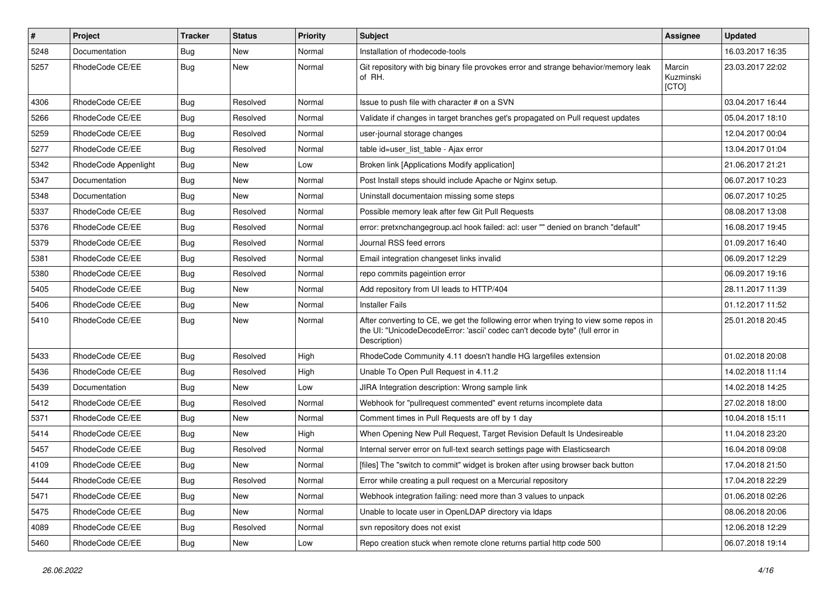| #    | Project              | <b>Tracker</b> | <b>Status</b> | <b>Priority</b> | <b>Subject</b>                                                                                                                                                                       | <b>Assignee</b>              | <b>Updated</b>   |
|------|----------------------|----------------|---------------|-----------------|--------------------------------------------------------------------------------------------------------------------------------------------------------------------------------------|------------------------------|------------------|
| 5248 | Documentation        | Bug            | New           | Normal          | Installation of rhodecode-tools                                                                                                                                                      |                              | 16.03.2017 16:35 |
| 5257 | RhodeCode CE/EE      | Bug            | New           | Normal          | Git repository with big binary file provokes error and strange behavior/memory leak<br>of RH.                                                                                        | Marcin<br>Kuzminski<br>[CTO] | 23.03.2017 22:02 |
| 4306 | RhodeCode CE/EE      | Bug            | Resolved      | Normal          | Issue to push file with character # on a SVN                                                                                                                                         |                              | 03.04.2017 16:44 |
| 5266 | RhodeCode CE/EE      | Bug            | Resolved      | Normal          | Validate if changes in target branches get's propagated on Pull request updates                                                                                                      |                              | 05.04.2017 18:10 |
| 5259 | RhodeCode CE/EE      | Bug            | Resolved      | Normal          | user-journal storage changes                                                                                                                                                         |                              | 12.04.2017 00:04 |
| 5277 | RhodeCode CE/EE      | <b>Bug</b>     | Resolved      | Normal          | table id=user_list_table - Ajax error                                                                                                                                                |                              | 13.04.2017 01:04 |
| 5342 | RhodeCode Appenlight | Bug            | New           | Low             | Broken link [Applications Modify application]                                                                                                                                        |                              | 21.06.2017 21:21 |
| 5347 | Documentation        | Bug            | New           | Normal          | Post Install steps should include Apache or Nginx setup.                                                                                                                             |                              | 06.07.2017 10:23 |
| 5348 | Documentation        | Bug            | New           | Normal          | Uninstall documentaion missing some steps                                                                                                                                            |                              | 06.07.2017 10:25 |
| 5337 | RhodeCode CE/EE      | Bug            | Resolved      | Normal          | Possible memory leak after few Git Pull Requests                                                                                                                                     |                              | 08.08.2017 13:08 |
| 5376 | RhodeCode CE/EE      | Bug            | Resolved      | Normal          | error: pretxnchangegroup.acl hook failed: acl: user "" denied on branch "default"                                                                                                    |                              | 16.08.2017 19:45 |
| 5379 | RhodeCode CE/EE      | <b>Bug</b>     | Resolved      | Normal          | Journal RSS feed errors                                                                                                                                                              |                              | 01.09.2017 16:40 |
| 5381 | RhodeCode CE/EE      | Bug            | Resolved      | Normal          | Email integration changeset links invalid                                                                                                                                            |                              | 06.09.2017 12:29 |
| 5380 | RhodeCode CE/EE      | Bug            | Resolved      | Normal          | repo commits pageintion error                                                                                                                                                        |                              | 06.09.2017 19:16 |
| 5405 | RhodeCode CE/EE      | Bug            | New           | Normal          | Add repository from UI leads to HTTP/404                                                                                                                                             |                              | 28.11.2017 11:39 |
| 5406 | RhodeCode CE/EE      | Bug            | <b>New</b>    | Normal          | <b>Installer Fails</b>                                                                                                                                                               |                              | 01.12.2017 11:52 |
| 5410 | RhodeCode CE/EE      | Bug            | New           | Normal          | After converting to CE, we get the following error when trying to view some repos in<br>the UI: "UnicodeDecodeError: 'ascii' codec can't decode byte" (full error in<br>Description) |                              | 25.01.2018 20:45 |
| 5433 | RhodeCode CE/EE      | <b>Bug</b>     | Resolved      | High            | RhodeCode Community 4.11 doesn't handle HG largefiles extension                                                                                                                      |                              | 01.02.2018 20:08 |
| 5436 | RhodeCode CE/EE      | Bug            | Resolved      | High            | Unable To Open Pull Request in 4.11.2                                                                                                                                                |                              | 14.02.2018 11:14 |
| 5439 | Documentation        | Bug            | <b>New</b>    | Low             | JIRA Integration description: Wrong sample link                                                                                                                                      |                              | 14.02.2018 14:25 |
| 5412 | RhodeCode CE/EE      | Bug            | Resolved      | Normal          | Webhook for "pullrequest commented" event returns incomplete data                                                                                                                    |                              | 27.02.2018 18:00 |
| 5371 | RhodeCode CE/EE      | Bug            | New           | Normal          | Comment times in Pull Requests are off by 1 day                                                                                                                                      |                              | 10.04.2018 15:11 |
| 5414 | RhodeCode CE/EE      | Bug            | New           | High            | When Opening New Pull Request, Target Revision Default Is Undesireable                                                                                                               |                              | 11.04.2018 23:20 |
| 5457 | RhodeCode CE/EE      | Bug            | Resolved      | Normal          | Internal server error on full-text search settings page with Elasticsearch                                                                                                           |                              | 16.04.2018 09:08 |
| 4109 | RhodeCode CE/EE      | Bug            | New           | Normal          | [files] The "switch to commit" widget is broken after using browser back button                                                                                                      |                              | 17.04.2018 21:50 |
| 5444 | RhodeCode CE/EE      | Bug            | Resolved      | Normal          | Error while creating a pull request on a Mercurial repository                                                                                                                        |                              | 17.04.2018 22:29 |
| 5471 | RhodeCode CE/EE      | Bug            | <b>New</b>    | Normal          | Webhook integration failing: need more than 3 values to unpack                                                                                                                       |                              | 01.06.2018 02:26 |
| 5475 | RhodeCode CE/EE      | <b>Bug</b>     | New           | Normal          | Unable to locate user in OpenLDAP directory via Idaps                                                                                                                                |                              | 08.06.2018 20:06 |
| 4089 | RhodeCode CE/EE      | Bug            | Resolved      | Normal          | svn repository does not exist                                                                                                                                                        |                              | 12.06.2018 12:29 |
| 5460 | RhodeCode CE/EE      | Bug            | New           | Low             | Repo creation stuck when remote clone returns partial http code 500                                                                                                                  |                              | 06.07.2018 19:14 |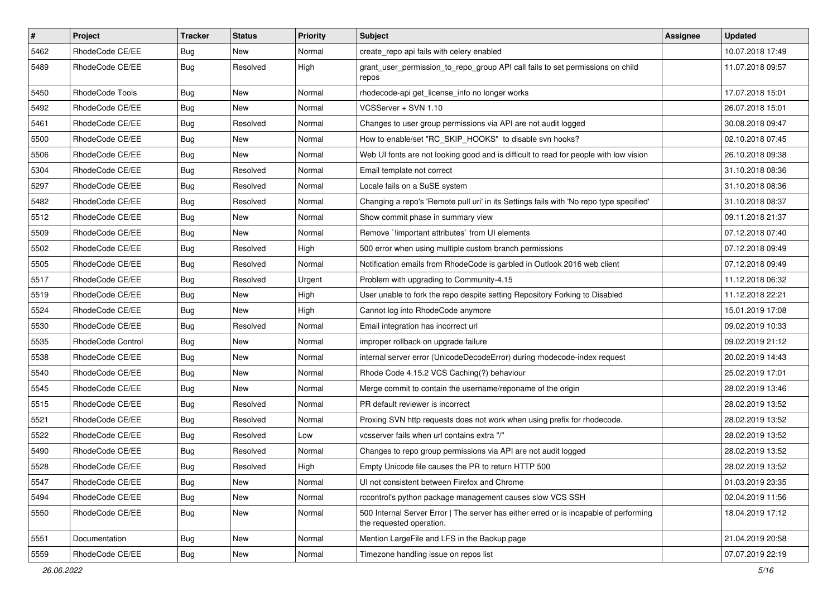| $\pmb{\#}$ | Project                  | <b>Tracker</b> | <b>Status</b> | <b>Priority</b> | <b>Subject</b>                                                                                                    | Assignee | <b>Updated</b>   |
|------------|--------------------------|----------------|---------------|-----------------|-------------------------------------------------------------------------------------------------------------------|----------|------------------|
| 5462       | RhodeCode CE/EE          | Bug            | New           | Normal          | create repo api fails with celery enabled                                                                         |          | 10.07.2018 17:49 |
| 5489       | RhodeCode CE/EE          | Bug            | Resolved      | High            | grant_user_permission_to_repo_group API call fails to set permissions on child<br>repos                           |          | 11.07.2018 09:57 |
| 5450       | RhodeCode Tools          | Bug            | New           | Normal          | rhodecode-api get_license_info no longer works                                                                    |          | 17.07.2018 15:01 |
| 5492       | RhodeCode CE/EE          | Bug            | <b>New</b>    | Normal          | VCSServer + SVN 1.10                                                                                              |          | 26.07.2018 15:01 |
| 5461       | RhodeCode CE/EE          | Bug            | Resolved      | Normal          | Changes to user group permissions via API are not audit logged                                                    |          | 30.08.2018 09:47 |
| 5500       | RhodeCode CE/EE          | Bug            | New           | Normal          | How to enable/set "RC SKIP HOOKS" to disable svn hooks?                                                           |          | 02.10.2018 07:45 |
| 5506       | RhodeCode CE/EE          | Bug            | New           | Normal          | Web UI fonts are not looking good and is difficult to read for people with low vision                             |          | 26.10.2018 09:38 |
| 5304       | RhodeCode CE/EE          | <b>Bug</b>     | Resolved      | Normal          | Email template not correct                                                                                        |          | 31.10.2018 08:36 |
| 5297       | RhodeCode CE/EE          | Bug            | Resolved      | Normal          | Locale fails on a SuSE system                                                                                     |          | 31.10.2018 08:36 |
| 5482       | RhodeCode CE/EE          | Bug            | Resolved      | Normal          | Changing a repo's 'Remote pull uri' in its Settings fails with 'No repo type specified'                           |          | 31.10.2018 08:37 |
| 5512       | RhodeCode CE/EE          | Bug            | New           | Normal          | Show commit phase in summary view                                                                                 |          | 09.11.2018 21:37 |
| 5509       | RhodeCode CE/EE          | Bug            | New           | Normal          | Remove `!important attributes` from UI elements                                                                   |          | 07.12.2018 07:40 |
| 5502       | RhodeCode CE/EE          | Bug            | Resolved      | High            | 500 error when using multiple custom branch permissions                                                           |          | 07.12.2018 09:49 |
| 5505       | RhodeCode CE/EE          | Bug            | Resolved      | Normal          | Notification emails from RhodeCode is garbled in Outlook 2016 web client                                          |          | 07.12.2018 09:49 |
| 5517       | RhodeCode CE/EE          | Bug            | Resolved      | Urgent          | Problem with upgrading to Community-4.15                                                                          |          | 11.12.2018 06:32 |
| 5519       | RhodeCode CE/EE          | Bug            | New           | High            | User unable to fork the repo despite setting Repository Forking to Disabled                                       |          | 11.12.2018 22:21 |
| 5524       | RhodeCode CE/EE          | Bug            | New           | High            | Cannot log into RhodeCode anymore                                                                                 |          | 15.01.2019 17:08 |
| 5530       | RhodeCode CE/EE          | <b>Bug</b>     | Resolved      | Normal          | Email integration has incorrect url                                                                               |          | 09.02.2019 10:33 |
| 5535       | <b>RhodeCode Control</b> | Bug            | New           | Normal          | improper rollback on upgrade failure                                                                              |          | 09.02.2019 21:12 |
| 5538       | RhodeCode CE/EE          | <b>Bug</b>     | New           | Normal          | internal server error (UnicodeDecodeError) during rhodecode-index request                                         |          | 20.02.2019 14:43 |
| 5540       | RhodeCode CE/EE          | <b>Bug</b>     | <b>New</b>    | Normal          | Rhode Code 4.15.2 VCS Caching(?) behaviour                                                                        |          | 25.02.2019 17:01 |
| 5545       | RhodeCode CE/EE          | Bug            | <b>New</b>    | Normal          | Merge commit to contain the username/reponame of the origin                                                       |          | 28.02.2019 13:46 |
| 5515       | RhodeCode CE/EE          | Bug            | Resolved      | Normal          | PR default reviewer is incorrect                                                                                  |          | 28.02.2019 13:52 |
| 5521       | RhodeCode CE/EE          | Bug            | Resolved      | Normal          | Proxing SVN http requests does not work when using prefix for rhodecode.                                          |          | 28.02.2019 13:52 |
| 5522       | RhodeCode CE/EE          | Bug            | Resolved      | Low             | vcsserver fails when url contains extra "/"                                                                       |          | 28.02.2019 13:52 |
| 5490       | RhodeCode CE/EE          | <b>Bug</b>     | Resolved      | Normal          | Changes to repo group permissions via API are not audit logged                                                    |          | 28.02.2019 13:52 |
| 5528       | RhodeCode CE/EE          | Bug            | Resolved      | High            | Empty Unicode file causes the PR to return HTTP 500                                                               |          | 28.02.2019 13:52 |
| 5547       | RhodeCode CE/EE          | Bug            | New           | Normal          | UI not consistent between Firefox and Chrome                                                                      |          | 01.03.2019 23:35 |
| 5494       | RhodeCode CE/EE          | <b>Bug</b>     | New           | Normal          | rccontrol's python package management causes slow VCS SSH                                                         |          | 02.04.2019 11:56 |
| 5550       | RhodeCode CE/EE          | <b>Bug</b>     | New           | Normal          | 500 Internal Server Error   The server has either erred or is incapable of performing<br>the requested operation. |          | 18.04.2019 17:12 |
| 5551       | Documentation            | <b>Bug</b>     | New           | Normal          | Mention LargeFile and LFS in the Backup page                                                                      |          | 21.04.2019 20:58 |
| 5559       | RhodeCode CE/EE          | Bug            | New           | Normal          | Timezone handling issue on repos list                                                                             |          | 07.07.2019 22:19 |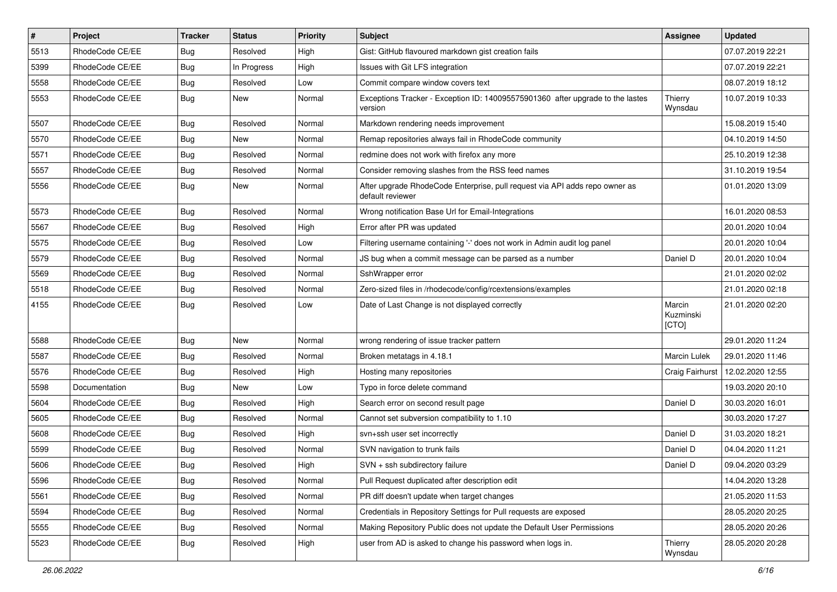| #    | Project         | <b>Tracker</b> | <b>Status</b> | <b>Priority</b> | <b>Subject</b>                                                                                  | <b>Assignee</b>              | <b>Updated</b>   |
|------|-----------------|----------------|---------------|-----------------|-------------------------------------------------------------------------------------------------|------------------------------|------------------|
| 5513 | RhodeCode CE/EE | Bug            | Resolved      | High            | Gist: GitHub flavoured markdown gist creation fails                                             |                              | 07.07.2019 22:21 |
| 5399 | RhodeCode CE/EE | Bug            | In Progress   | High            | Issues with Git LFS integration                                                                 |                              | 07.07.2019 22:21 |
| 5558 | RhodeCode CE/EE | Bug            | Resolved      | Low             | Commit compare window covers text                                                               |                              | 08.07.2019 18:12 |
| 5553 | RhodeCode CE/EE | <b>Bug</b>     | New           | Normal          | Exceptions Tracker - Exception ID: 140095575901360 after upgrade to the lastes<br>version       | Thierry<br>Wynsdau           | 10.07.2019 10:33 |
| 5507 | RhodeCode CE/EE | Bug            | Resolved      | Normal          | Markdown rendering needs improvement                                                            |                              | 15.08.2019 15:40 |
| 5570 | RhodeCode CE/EE | Bug            | <b>New</b>    | Normal          | Remap repositories always fail in RhodeCode community                                           |                              | 04.10.2019 14:50 |
| 5571 | RhodeCode CE/EE | Bug            | Resolved      | Normal          | redmine does not work with firefox any more                                                     |                              | 25.10.2019 12:38 |
| 5557 | RhodeCode CE/EE | Bug            | Resolved      | Normal          | Consider removing slashes from the RSS feed names                                               |                              | 31.10.2019 19:54 |
| 5556 | RhodeCode CE/EE | Bug            | <b>New</b>    | Normal          | After upgrade RhodeCode Enterprise, pull request via API adds repo owner as<br>default reviewer |                              | 01.01.2020 13:09 |
| 5573 | RhodeCode CE/EE | Bug            | Resolved      | Normal          | Wrong notification Base Url for Email-Integrations                                              |                              | 16.01.2020 08:53 |
| 5567 | RhodeCode CE/EE | Bug            | Resolved      | High            | Error after PR was updated                                                                      |                              | 20.01.2020 10:04 |
| 5575 | RhodeCode CE/EE | Bug            | Resolved      | Low             | Filtering username containing '-' does not work in Admin audit log panel                        |                              | 20.01.2020 10:04 |
| 5579 | RhodeCode CE/EE | Bug            | Resolved      | Normal          | JS bug when a commit message can be parsed as a number                                          | Daniel D                     | 20.01.2020 10:04 |
| 5569 | RhodeCode CE/EE | Bug            | Resolved      | Normal          | SshWrapper error                                                                                |                              | 21.01.2020 02:02 |
| 5518 | RhodeCode CE/EE | Bug            | Resolved      | Normal          | Zero-sized files in /rhodecode/config/rcextensions/examples                                     |                              | 21.01.2020 02:18 |
| 4155 | RhodeCode CE/EE | Bug            | Resolved      | Low             | Date of Last Change is not displayed correctly                                                  | Marcin<br>Kuzminski<br>[CTO] | 21.01.2020 02:20 |
| 5588 | RhodeCode CE/EE | Bug            | New           | Normal          | wrong rendering of issue tracker pattern                                                        |                              | 29.01.2020 11:24 |
| 5587 | RhodeCode CE/EE | <b>Bug</b>     | Resolved      | Normal          | Broken metatags in 4.18.1                                                                       | <b>Marcin Lulek</b>          | 29.01.2020 11:46 |
| 5576 | RhodeCode CE/EE | Bug            | Resolved      | High            | Hosting many repositories                                                                       | Craig Fairhurst              | 12.02.2020 12:55 |
| 5598 | Documentation   | Bug            | New           | Low             | Typo in force delete command                                                                    |                              | 19.03.2020 20:10 |
| 5604 | RhodeCode CE/EE | Bug            | Resolved      | High            | Search error on second result page                                                              | Daniel D                     | 30.03.2020 16:01 |
| 5605 | RhodeCode CE/EE | Bug            | Resolved      | Normal          | Cannot set subversion compatibility to 1.10                                                     |                              | 30.03.2020 17:27 |
| 5608 | RhodeCode CE/EE | Bug            | Resolved      | High            | svn+ssh user set incorrectly                                                                    | Daniel D                     | 31.03.2020 18:21 |
| 5599 | RhodeCode CE/EE | Bug            | Resolved      | Normal          | SVN navigation to trunk fails                                                                   | Daniel D                     | 04.04.2020 11:21 |
| 5606 | RhodeCode CE/EE | Bug            | Resolved      | High            | SVN + ssh subdirectory failure                                                                  | Daniel D                     | 09.04.2020 03:29 |
| 5596 | RhodeCode CE/EE | Bug            | Resolved      | Normal          | Pull Request duplicated after description edit                                                  |                              | 14.04.2020 13:28 |
| 5561 | RhodeCode CE/EE | Bug            | Resolved      | Normal          | PR diff doesn't update when target changes                                                      |                              | 21.05.2020 11:53 |
| 5594 | RhodeCode CE/EE | <b>Bug</b>     | Resolved      | Normal          | Credentials in Repository Settings for Pull requests are exposed                                |                              | 28.05.2020 20:25 |
| 5555 | RhodeCode CE/EE | Bug            | Resolved      | Normal          | Making Repository Public does not update the Default User Permissions                           |                              | 28.05.2020 20:26 |
| 5523 | RhodeCode CE/EE | Bug            | Resolved      | High            | user from AD is asked to change his password when logs in.                                      | Thierry<br>Wynsdau           | 28.05.2020 20:28 |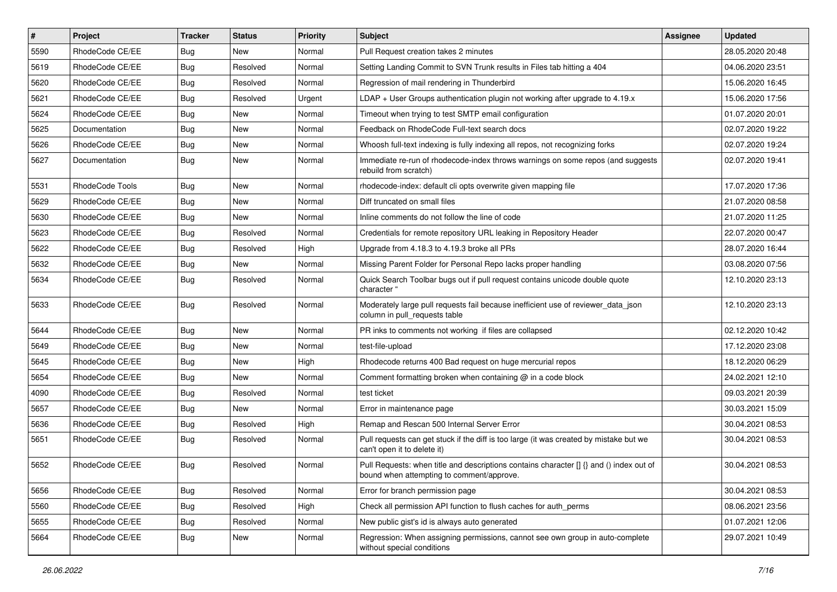| $\vert$ # | Project         | <b>Tracker</b> | <b>Status</b> | Priority | <b>Subject</b>                                                                                                                       | <b>Assignee</b> | <b>Updated</b>   |
|-----------|-----------------|----------------|---------------|----------|--------------------------------------------------------------------------------------------------------------------------------------|-----------------|------------------|
| 5590      | RhodeCode CE/EE | Bug            | New           | Normal   | Pull Request creation takes 2 minutes                                                                                                |                 | 28.05.2020 20:48 |
| 5619      | RhodeCode CE/EE | Bug            | Resolved      | Normal   | Setting Landing Commit to SVN Trunk results in Files tab hitting a 404                                                               |                 | 04.06.2020 23:51 |
| 5620      | RhodeCode CE/EE | Bug            | Resolved      | Normal   | Regression of mail rendering in Thunderbird                                                                                          |                 | 15.06.2020 16:45 |
| 5621      | RhodeCode CE/EE | <b>Bug</b>     | Resolved      | Urgent   | LDAP + User Groups authentication plugin not working after upgrade to 4.19.x                                                         |                 | 15.06.2020 17:56 |
| 5624      | RhodeCode CE/EE | Bug            | <b>New</b>    | Normal   | Timeout when trying to test SMTP email configuration                                                                                 |                 | 01.07.2020 20:01 |
| 5625      | Documentation   | Bug            | New           | Normal   | Feedback on RhodeCode Full-text search docs                                                                                          |                 | 02.07.2020 19:22 |
| 5626      | RhodeCode CE/EE | <b>Bug</b>     | New           | Normal   | Whoosh full-text indexing is fully indexing all repos, not recognizing forks                                                         |                 | 02.07.2020 19:24 |
| 5627      | Documentation   | Bug            | <b>New</b>    | Normal   | Immediate re-run of rhodecode-index throws warnings on some repos (and suggests<br>rebuild from scratch)                             |                 | 02.07.2020 19:41 |
| 5531      | RhodeCode Tools | Bug            | <b>New</b>    | Normal   | rhodecode-index: default cli opts overwrite given mapping file                                                                       |                 | 17.07.2020 17:36 |
| 5629      | RhodeCode CE/EE | Bug            | New           | Normal   | Diff truncated on small files                                                                                                        |                 | 21.07.2020 08:58 |
| 5630      | RhodeCode CE/EE | Bug            | <b>New</b>    | Normal   | Inline comments do not follow the line of code                                                                                       |                 | 21.07.2020 11:25 |
| 5623      | RhodeCode CE/EE | Bug            | Resolved      | Normal   | Credentials for remote repository URL leaking in Repository Header                                                                   |                 | 22.07.2020 00:47 |
| 5622      | RhodeCode CE/EE | Bug            | Resolved      | High     | Upgrade from 4.18.3 to 4.19.3 broke all PRs                                                                                          |                 | 28.07.2020 16:44 |
| 5632      | RhodeCode CE/EE | Bug            | <b>New</b>    | Normal   | Missing Parent Folder for Personal Repo lacks proper handling                                                                        |                 | 03.08.2020 07:56 |
| 5634      | RhodeCode CE/EE | Bug            | Resolved      | Normal   | Quick Search Toolbar bugs out if pull request contains unicode double quote<br>character "                                           |                 | 12.10.2020 23:13 |
| 5633      | RhodeCode CE/EE | Bug            | Resolved      | Normal   | Moderately large pull requests fail because inefficient use of reviewer_data_json<br>column in pull requests table                   |                 | 12.10.2020 23:13 |
| 5644      | RhodeCode CE/EE | Bug            | <b>New</b>    | Normal   | PR inks to comments not working if files are collapsed                                                                               |                 | 02.12.2020 10:42 |
| 5649      | RhodeCode CE/EE | Bug            | <b>New</b>    | Normal   | test-file-upload                                                                                                                     |                 | 17.12.2020 23:08 |
| 5645      | RhodeCode CE/EE | Bug            | New           | High     | Rhodecode returns 400 Bad request on huge mercurial repos                                                                            |                 | 18.12.2020 06:29 |
| 5654      | RhodeCode CE/EE | Bug            | <b>New</b>    | Normal   | Comment formatting broken when containing @ in a code block                                                                          |                 | 24.02.2021 12:10 |
| 4090      | RhodeCode CE/EE | <b>Bug</b>     | Resolved      | Normal   | test ticket                                                                                                                          |                 | 09.03.2021 20:39 |
| 5657      | RhodeCode CE/EE | <b>Bug</b>     | New           | Normal   | Error in maintenance page                                                                                                            |                 | 30.03.2021 15:09 |
| 5636      | RhodeCode CE/EE | Bug            | Resolved      | High     | Remap and Rescan 500 Internal Server Error                                                                                           |                 | 30.04.2021 08:53 |
| 5651      | RhodeCode CE/EE | Bug            | Resolved      | Normal   | Pull requests can get stuck if the diff is too large (it was created by mistake but we<br>can't open it to delete it)                |                 | 30.04.2021 08:53 |
| 5652      | RhodeCode CE/EE | <b>Bug</b>     | Resolved      | Normal   | Pull Requests: when title and descriptions contains character [] {} and () index out of<br>bound when attempting to comment/approve. |                 | 30.04.2021 08:53 |
| 5656      | RhodeCode CE/EE | Bug            | Resolved      | Normal   | Error for branch permission page                                                                                                     |                 | 30.04.2021 08:53 |
| 5560      | RhodeCode CE/EE | Bug            | Resolved      | High     | Check all permission API function to flush caches for auth_perms                                                                     |                 | 08.06.2021 23:56 |
| 5655      | RhodeCode CE/EE | Bug            | Resolved      | Normal   | New public gist's id is always auto generated                                                                                        |                 | 01.07.2021 12:06 |
| 5664      | RhodeCode CE/EE | <b>Bug</b>     | New           | Normal   | Regression: When assigning permissions, cannot see own group in auto-complete<br>without special conditions                          |                 | 29.07.2021 10:49 |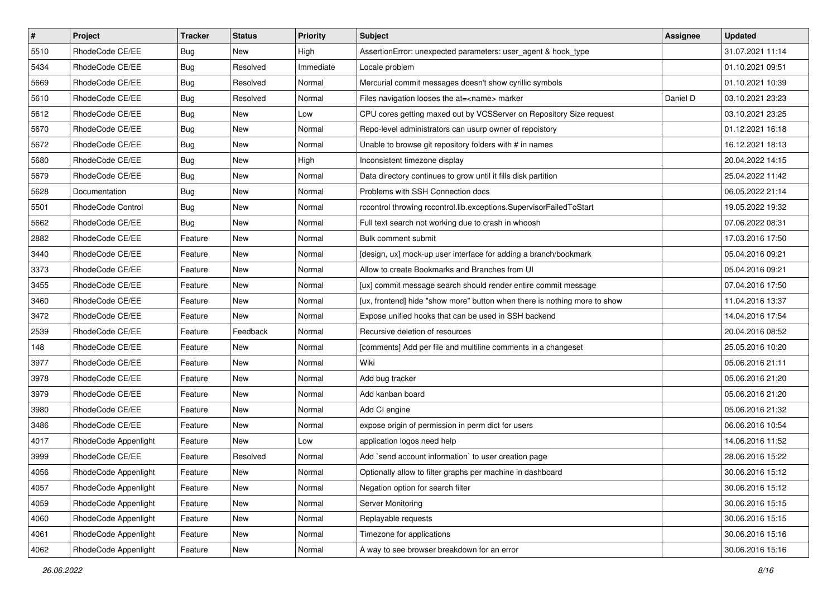| $\sharp$ | Project              | <b>Tracker</b> | <b>Status</b> | Priority  | <b>Subject</b>                                                            | Assignee | <b>Updated</b>   |
|----------|----------------------|----------------|---------------|-----------|---------------------------------------------------------------------------|----------|------------------|
| 5510     | RhodeCode CE/EE      | <b>Bug</b>     | New           | High      | AssertionError: unexpected parameters: user_agent & hook_type             |          | 31.07.2021 11:14 |
| 5434     | RhodeCode CE/EE      | Bug            | Resolved      | Immediate | Locale problem                                                            |          | 01.10.2021 09:51 |
| 5669     | RhodeCode CE/EE      | Bug            | Resolved      | Normal    | Mercurial commit messages doesn't show cyrillic symbols                   |          | 01.10.2021 10:39 |
| 5610     | RhodeCode CE/EE      | Bug            | Resolved      | Normal    | Files navigation looses the at= <name> marker</name>                      | Daniel D | 03.10.2021 23:23 |
| 5612     | RhodeCode CE/EE      | Bug            | <b>New</b>    | Low       | CPU cores getting maxed out by VCSServer on Repository Size request       |          | 03.10.2021 23:25 |
| 5670     | RhodeCode CE/EE      | Bug            | New           | Normal    | Repo-level administrators can usurp owner of repoistory                   |          | 01.12.2021 16:18 |
| 5672     | RhodeCode CE/EE      | Bug            | New           | Normal    | Unable to browse git repository folders with # in names                   |          | 16.12.2021 18:13 |
| 5680     | RhodeCode CE/EE      | <b>Bug</b>     | New           | High      | Inconsistent timezone display                                             |          | 20.04.2022 14:15 |
| 5679     | RhodeCode CE/EE      | Bug            | <b>New</b>    | Normal    | Data directory continues to grow until it fills disk partition            |          | 25.04.2022 11:42 |
| 5628     | Documentation        | <b>Bug</b>     | New           | Normal    | Problems with SSH Connection docs                                         |          | 06.05.2022 21:14 |
| 5501     | RhodeCode Control    | <b>Bug</b>     | New           | Normal    | rccontrol throwing rccontrol.lib.exceptions.SupervisorFailedToStart       |          | 19.05.2022 19:32 |
| 5662     | RhodeCode CE/EE      | <b>Bug</b>     | New           | Normal    | Full text search not working due to crash in whoosh                       |          | 07.06.2022 08:31 |
| 2882     | RhodeCode CE/EE      | Feature        | <b>New</b>    | Normal    | Bulk comment submit                                                       |          | 17.03.2016 17:50 |
| 3440     | RhodeCode CE/EE      | Feature        | New           | Normal    | [design, ux] mock-up user interface for adding a branch/bookmark          |          | 05.04.2016 09:21 |
| 3373     | RhodeCode CE/EE      | Feature        | New           | Normal    | Allow to create Bookmarks and Branches from UI                            |          | 05.04.2016 09:21 |
| 3455     | RhodeCode CE/EE      | Feature        | New           | Normal    | [ux] commit message search should render entire commit message            |          | 07.04.2016 17:50 |
| 3460     | RhodeCode CE/EE      | Feature        | New           | Normal    | [ux, frontend] hide "show more" button when there is nothing more to show |          | 11.04.2016 13:37 |
| 3472     | RhodeCode CE/EE      | Feature        | <b>New</b>    | Normal    | Expose unified hooks that can be used in SSH backend                      |          | 14.04.2016 17:54 |
| 2539     | RhodeCode CE/EE      | Feature        | Feedback      | Normal    | Recursive deletion of resources                                           |          | 20.04.2016 08:52 |
| 148      | RhodeCode CE/EE      | Feature        | New           | Normal    | [comments] Add per file and multiline comments in a changeset             |          | 25.05.2016 10:20 |
| 3977     | RhodeCode CE/EE      | Feature        | New           | Normal    | Wiki                                                                      |          | 05.06.2016 21:11 |
| 3978     | RhodeCode CE/EE      | Feature        | New           | Normal    | Add bug tracker                                                           |          | 05.06.2016 21:20 |
| 3979     | RhodeCode CE/EE      | Feature        | <b>New</b>    | Normal    | Add kanban board                                                          |          | 05.06.2016 21:20 |
| 3980     | RhodeCode CE/EE      | Feature        | New           | Normal    | Add CI engine                                                             |          | 05.06.2016 21:32 |
| 3486     | RhodeCode CE/EE      | Feature        | New           | Normal    | expose origin of permission in perm dict for users                        |          | 06.06.2016 10:54 |
| 4017     | RhodeCode Appenlight | Feature        | <b>New</b>    | Low       | application logos need help                                               |          | 14.06.2016 11:52 |
| 3999     | RhodeCode CE/EE      | Feature        | Resolved      | Normal    | Add `send account information` to user creation page                      |          | 28.06.2016 15:22 |
| 4056     | RhodeCode Appenlight | Feature        | New           | Normal    | Optionally allow to filter graphs per machine in dashboard                |          | 30.06.2016 15:12 |
| 4057     | RhodeCode Appenlight | Feature        | New           | Normal    | Negation option for search filter                                         |          | 30.06.2016 15:12 |
| 4059     | RhodeCode Appenlight | Feature        | New           | Normal    | Server Monitoring                                                         |          | 30.06.2016 15:15 |
| 4060     | RhodeCode Appenlight | Feature        | New           | Normal    | Replayable requests                                                       |          | 30.06.2016 15:15 |
| 4061     | RhodeCode Appenlight | Feature        | New           | Normal    | Timezone for applications                                                 |          | 30.06.2016 15:16 |
| 4062     | RhodeCode Appenlight | Feature        | New           | Normal    | A way to see browser breakdown for an error                               |          | 30.06.2016 15:16 |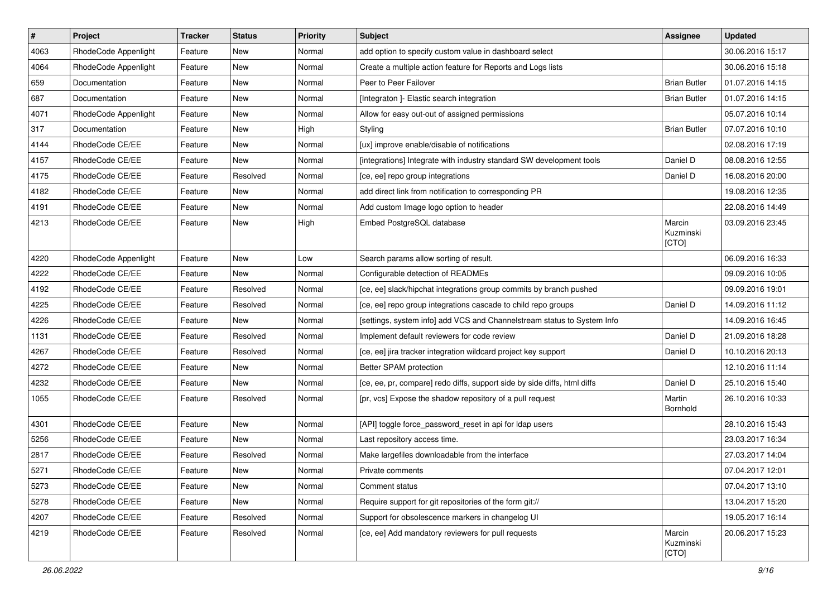| $\vert$ # | Project              | Tracker | <b>Status</b> | <b>Priority</b> | <b>Subject</b>                                                           | <b>Assignee</b>              | <b>Updated</b>   |
|-----------|----------------------|---------|---------------|-----------------|--------------------------------------------------------------------------|------------------------------|------------------|
| 4063      | RhodeCode Appenlight | Feature | New           | Normal          | add option to specify custom value in dashboard select                   |                              | 30.06.2016 15:17 |
| 4064      | RhodeCode Appenlight | Feature | New           | Normal          | Create a multiple action feature for Reports and Logs lists              |                              | 30.06.2016 15:18 |
| 659       | Documentation        | Feature | New           | Normal          | Peer to Peer Failover                                                    | <b>Brian Butler</b>          | 01.07.2016 14:15 |
| 687       | Documentation        | Feature | New           | Normal          | [Integraton ]- Elastic search integration                                | <b>Brian Butler</b>          | 01.07.2016 14:15 |
| 4071      | RhodeCode Appenlight | Feature | New           | Normal          | Allow for easy out-out of assigned permissions                           |                              | 05.07.2016 10:14 |
| 317       | Documentation        | Feature | New           | High            | Styling                                                                  | <b>Brian Butler</b>          | 07.07.2016 10:10 |
| 4144      | RhodeCode CE/EE      | Feature | New           | Normal          | [ux] improve enable/disable of notifications                             |                              | 02.08.2016 17:19 |
| 4157      | RhodeCode CE/EE      | Feature | New           | Normal          | [integrations] Integrate with industry standard SW development tools     | Daniel D                     | 08.08.2016 12:55 |
| 4175      | RhodeCode CE/EE      | Feature | Resolved      | Normal          | [ce, ee] repo group integrations                                         | Daniel D                     | 16.08.2016 20:00 |
| 4182      | RhodeCode CE/EE      | Feature | New           | Normal          | add direct link from notification to corresponding PR                    |                              | 19.08.2016 12:35 |
| 4191      | RhodeCode CE/EE      | Feature | New           | Normal          | Add custom Image logo option to header                                   |                              | 22.08.2016 14:49 |
| 4213      | RhodeCode CE/EE      | Feature | New           | High            | Embed PostgreSQL database                                                | Marcin<br>Kuzminski<br>[CTO] | 03.09.2016 23:45 |
| 4220      | RhodeCode Appenlight | Feature | New           | Low             | Search params allow sorting of result.                                   |                              | 06.09.2016 16:33 |
| 4222      | RhodeCode CE/EE      | Feature | New           | Normal          | Configurable detection of READMEs                                        |                              | 09.09.2016 10:05 |
| 4192      | RhodeCode CE/EE      | Feature | Resolved      | Normal          | [ce, ee] slack/hipchat integrations group commits by branch pushed       |                              | 09.09.2016 19:01 |
| 4225      | RhodeCode CE/EE      | Feature | Resolved      | Normal          | [ce, ee] repo group integrations cascade to child repo groups            | Daniel D                     | 14.09.2016 11:12 |
| 4226      | RhodeCode CE/EE      | Feature | New           | Normal          | [settings, system info] add VCS and Channelstream status to System Info  |                              | 14.09.2016 16:45 |
| 1131      | RhodeCode CE/EE      | Feature | Resolved      | Normal          | Implement default reviewers for code review                              | Daniel D                     | 21.09.2016 18:28 |
| 4267      | RhodeCode CE/EE      | Feature | Resolved      | Normal          | [ce, ee] jira tracker integration wildcard project key support           | Daniel D                     | 10.10.2016 20:13 |
| 4272      | RhodeCode CE/EE      | Feature | New           | Normal          | Better SPAM protection                                                   |                              | 12.10.2016 11:14 |
| 4232      | RhodeCode CE/EE      | Feature | New           | Normal          | [ce, ee, pr, compare] redo diffs, support side by side diffs, html diffs | Daniel D                     | 25.10.2016 15:40 |
| 1055      | RhodeCode CE/EE      | Feature | Resolved      | Normal          | [pr, vcs] Expose the shadow repository of a pull request                 | Martin<br>Bornhold           | 26.10.2016 10:33 |
| 4301      | RhodeCode CE/EE      | Feature | New           | Normal          | [API] toggle force_password_reset in api for Idap users                  |                              | 28.10.2016 15:43 |
| 5256      | RhodeCode CE/EE      | Feature | New           | Normal          | Last repository access time.                                             |                              | 23.03.2017 16:34 |
| 2817      | RhodeCode CE/EE      | Feature | Resolved      | Normal          | Make largefiles downloadable from the interface                          |                              | 27.03.2017 14:04 |
| 5271      | RhodeCode CE/EE      | Feature | New           | Normal          | Private comments                                                         |                              | 07.04.2017 12:01 |
| 5273      | RhodeCode CE/EE      | Feature | New           | Normal          | Comment status                                                           |                              | 07.04.2017 13:10 |
| 5278      | RhodeCode CE/EE      | Feature | New           | Normal          | Require support for git repositories of the form git://                  |                              | 13.04.2017 15:20 |
| 4207      | RhodeCode CE/EE      | Feature | Resolved      | Normal          | Support for obsolescence markers in changelog UI                         |                              | 19.05.2017 16:14 |
| 4219      | RhodeCode CE/EE      | Feature | Resolved      | Normal          | [ce, ee] Add mandatory reviewers for pull requests                       | Marcin<br>Kuzminski<br>[CTO] | 20.06.2017 15:23 |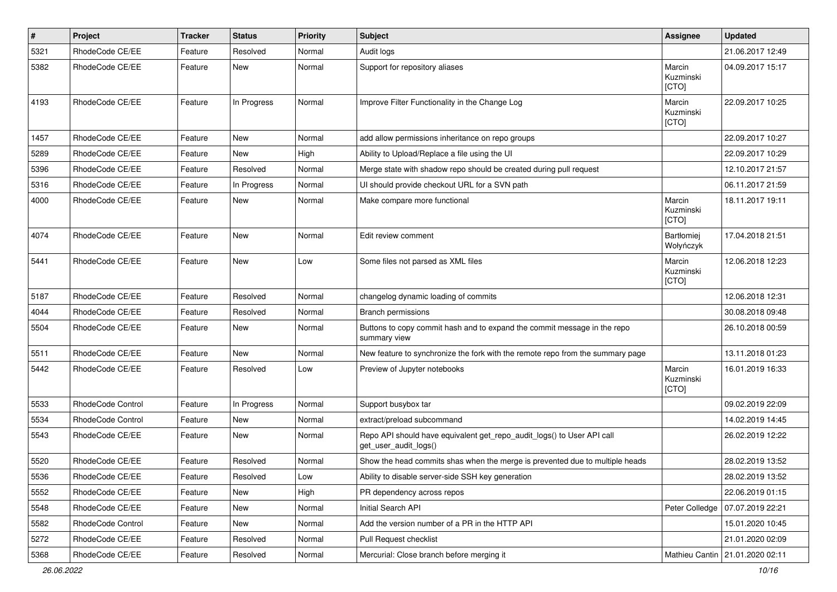| $\sharp$ | Project           | Tracker | <b>Status</b> | <b>Priority</b> | <b>Subject</b>                                                                                  | Assignee                     | <b>Updated</b>                    |
|----------|-------------------|---------|---------------|-----------------|-------------------------------------------------------------------------------------------------|------------------------------|-----------------------------------|
| 5321     | RhodeCode CE/EE   | Feature | Resolved      | Normal          | Audit logs                                                                                      |                              | 21.06.2017 12:49                  |
| 5382     | RhodeCode CE/EE   | Feature | <b>New</b>    | Normal          | Support for repository aliases                                                                  | Marcin<br>Kuzminski<br>[CTO] | 04.09.2017 15:17                  |
| 4193     | RhodeCode CE/EE   | Feature | In Progress   | Normal          | Improve Filter Functionality in the Change Log                                                  | Marcin<br>Kuzminski<br>[CTO] | 22.09.2017 10:25                  |
| 1457     | RhodeCode CE/EE   | Feature | New           | Normal          | add allow permissions inheritance on repo groups                                                |                              | 22.09.2017 10:27                  |
| 5289     | RhodeCode CE/EE   | Feature | <b>New</b>    | High            | Ability to Upload/Replace a file using the UI                                                   |                              | 22.09.2017 10:29                  |
| 5396     | RhodeCode CE/EE   | Feature | Resolved      | Normal          | Merge state with shadow repo should be created during pull request                              |                              | 12.10.2017 21:57                  |
| 5316     | RhodeCode CE/EE   | Feature | In Progress   | Normal          | UI should provide checkout URL for a SVN path                                                   |                              | 06.11.2017 21:59                  |
| 4000     | RhodeCode CE/EE   | Feature | New           | Normal          | Make compare more functional                                                                    | Marcin<br>Kuzminski<br>[CTO] | 18.11.2017 19:11                  |
| 4074     | RhodeCode CE/EE   | Feature | <b>New</b>    | Normal          | Edit review comment                                                                             | Bartłomiej<br>Wołyńczyk      | 17.04.2018 21:51                  |
| 5441     | RhodeCode CE/EE   | Feature | <b>New</b>    | Low             | Some files not parsed as XML files                                                              | Marcin<br>Kuzminski<br>[CTO] | 12.06.2018 12:23                  |
| 5187     | RhodeCode CE/EE   | Feature | Resolved      | Normal          | changelog dynamic loading of commits                                                            |                              | 12.06.2018 12:31                  |
| 4044     | RhodeCode CE/EE   | Feature | Resolved      | Normal          | Branch permissions                                                                              |                              | 30.08.2018 09:48                  |
| 5504     | RhodeCode CE/EE   | Feature | New           | Normal          | Buttons to copy commit hash and to expand the commit message in the repo<br>summary view        |                              | 26.10.2018 00:59                  |
| 5511     | RhodeCode CE/EE   | Feature | New           | Normal          | New feature to synchronize the fork with the remote repo from the summary page                  |                              | 13.11.2018 01:23                  |
| 5442     | RhodeCode CE/EE   | Feature | Resolved      | Low             | Preview of Jupyter notebooks                                                                    | Marcin<br>Kuzminski<br>[CTO] | 16.01.2019 16:33                  |
| 5533     | RhodeCode Control | Feature | In Progress   | Normal          | Support busybox tar                                                                             |                              | 09.02.2019 22:09                  |
| 5534     | RhodeCode Control | Feature | New           | Normal          | extract/preload subcommand                                                                      |                              | 14.02.2019 14:45                  |
| 5543     | RhodeCode CE/EE   | Feature | New           | Normal          | Repo API should have equivalent get_repo_audit_logs() to User API call<br>get_user_audit_logs() |                              | 26.02.2019 12:22                  |
| 5520     | RhodeCode CE/EE   | Feature | Resolved      | Normal          | Show the head commits shas when the merge is prevented due to multiple heads                    |                              | 28.02.2019 13:52                  |
| 5536     | RhodeCode CE/EE   | Feature | Resolved      | Low             | Ability to disable server-side SSH key generation                                               |                              | 28.02.2019 13:52                  |
| 5552     | RhodeCode CE/EE   | Feature | <b>New</b>    | High            | PR dependency across repos                                                                      |                              | 22.06.2019 01:15                  |
| 5548     | RhodeCode CE/EE   | Feature | New           | Normal          | Initial Search API                                                                              | Peter Colledge               | 07.07.2019 22:21                  |
| 5582     | RhodeCode Control | Feature | New           | Normal          | Add the version number of a PR in the HTTP API                                                  |                              | 15.01.2020 10:45                  |
| 5272     | RhodeCode CE/EE   | Feature | Resolved      | Normal          | Pull Request checklist                                                                          |                              | 21.01.2020 02:09                  |
| 5368     | RhodeCode CE/EE   | Feature | Resolved      | Normal          | Mercurial: Close branch before merging it                                                       |                              | Mathieu Cantin   21.01.2020 02:11 |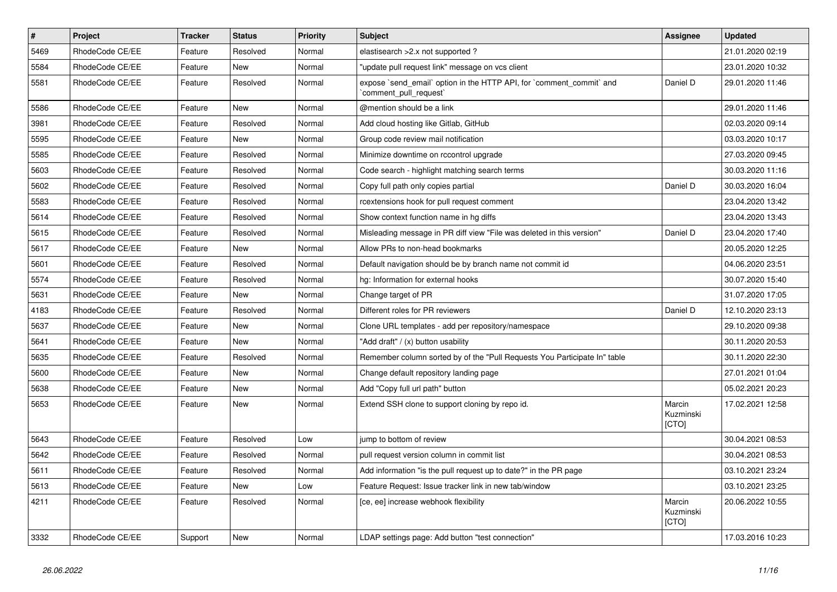| $\vert$ # | Project         | <b>Tracker</b> | <b>Status</b> | <b>Priority</b> | <b>Subject</b>                                                                                | <b>Assignee</b>              | <b>Updated</b>   |
|-----------|-----------------|----------------|---------------|-----------------|-----------------------------------------------------------------------------------------------|------------------------------|------------------|
| 5469      | RhodeCode CE/EE | Feature        | Resolved      | Normal          | elastisearch > 2.x not supported?                                                             |                              | 21.01.2020 02:19 |
| 5584      | RhodeCode CE/EE | Feature        | <b>New</b>    | Normal          | "update pull request link" message on vcs client                                              |                              | 23.01.2020 10:32 |
| 5581      | RhodeCode CE/EE | Feature        | Resolved      | Normal          | expose `send_email` option in the HTTP API, for `comment_commit` and<br>comment_pull_request` | Daniel D                     | 29.01.2020 11:46 |
| 5586      | RhodeCode CE/EE | Feature        | <b>New</b>    | Normal          | @mention should be a link                                                                     |                              | 29.01.2020 11:46 |
| 3981      | RhodeCode CE/EE | Feature        | Resolved      | Normal          | Add cloud hosting like Gitlab, GitHub                                                         |                              | 02.03.2020 09:14 |
| 5595      | RhodeCode CE/EE | Feature        | New           | Normal          | Group code review mail notification                                                           |                              | 03.03.2020 10:17 |
| 5585      | RhodeCode CE/EE | Feature        | Resolved      | Normal          | Minimize downtime on rccontrol upgrade                                                        |                              | 27.03.2020 09:45 |
| 5603      | RhodeCode CE/EE | Feature        | Resolved      | Normal          | Code search - highlight matching search terms                                                 |                              | 30.03.2020 11:16 |
| 5602      | RhodeCode CE/EE | Feature        | Resolved      | Normal          | Copy full path only copies partial                                                            | Daniel D                     | 30.03.2020 16:04 |
| 5583      | RhodeCode CE/EE | Feature        | Resolved      | Normal          | rcextensions hook for pull request comment                                                    |                              | 23.04.2020 13:42 |
| 5614      | RhodeCode CE/EE | Feature        | Resolved      | Normal          | Show context function name in hg diffs                                                        |                              | 23.04.2020 13:43 |
| 5615      | RhodeCode CE/EE | Feature        | Resolved      | Normal          | Misleading message in PR diff view "File was deleted in this version"                         | Daniel D                     | 23.04.2020 17:40 |
| 5617      | RhodeCode CE/EE | Feature        | New           | Normal          | Allow PRs to non-head bookmarks                                                               |                              | 20.05.2020 12:25 |
| 5601      | RhodeCode CE/EE | Feature        | Resolved      | Normal          | Default navigation should be by branch name not commit id                                     |                              | 04.06.2020 23:51 |
| 5574      | RhodeCode CE/EE | Feature        | Resolved      | Normal          | hg: Information for external hooks                                                            |                              | 30.07.2020 15:40 |
| 5631      | RhodeCode CE/EE | Feature        | New           | Normal          | Change target of PR                                                                           |                              | 31.07.2020 17:05 |
| 4183      | RhodeCode CE/EE | Feature        | Resolved      | Normal          | Different roles for PR reviewers                                                              | Daniel D                     | 12.10.2020 23:13 |
| 5637      | RhodeCode CE/EE | Feature        | New           | Normal          | Clone URL templates - add per repository/namespace                                            |                              | 29.10.2020 09:38 |
| 5641      | RhodeCode CE/EE | Feature        | New           | Normal          | "Add draft" / (x) button usability                                                            |                              | 30.11.2020 20:53 |
| 5635      | RhodeCode CE/EE | Feature        | Resolved      | Normal          | Remember column sorted by of the "Pull Requests You Participate In" table                     |                              | 30.11.2020 22:30 |
| 5600      | RhodeCode CE/EE | Feature        | New           | Normal          | Change default repository landing page                                                        |                              | 27.01.2021 01:04 |
| 5638      | RhodeCode CE/EE | Feature        | New           | Normal          | Add "Copy full url path" button                                                               |                              | 05.02.2021 20:23 |
| 5653      | RhodeCode CE/EE | Feature        | New           | Normal          | Extend SSH clone to support cloning by repo id.                                               | Marcin<br>Kuzminski<br>[CTO] | 17.02.2021 12:58 |
| 5643      | RhodeCode CE/EE | Feature        | Resolved      | Low             | jump to bottom of review                                                                      |                              | 30.04.2021 08:53 |
| 5642      | RhodeCode CE/EE | Feature        | Resolved      | Normal          | pull request version column in commit list                                                    |                              | 30.04.2021 08:53 |
| 5611      | RhodeCode CE/EE | Feature        | Resolved      | Normal          | Add information "is the pull request up to date?" in the PR page                              |                              | 03.10.2021 23:24 |
| 5613      | RhodeCode CE/EE | Feature        | <b>New</b>    | Low             | Feature Request: Issue tracker link in new tab/window                                         |                              | 03.10.2021 23:25 |
| 4211      | RhodeCode CE/EE | Feature        | Resolved      | Normal          | [ce, ee] increase webhook flexibility                                                         | Marcin<br>Kuzminski<br>[CTO] | 20.06.2022 10:55 |
| 3332      | RhodeCode CE/EE | Support        | New           | Normal          | LDAP settings page: Add button "test connection"                                              |                              | 17.03.2016 10:23 |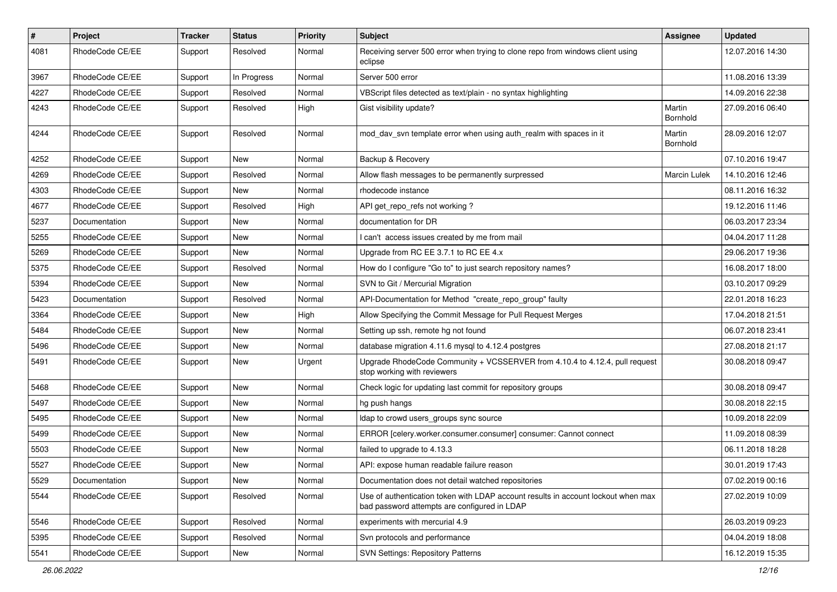| $\#$ | Project         | Tracker | <b>Status</b> | <b>Priority</b> | Subject                                                                                                                           | <b>Assignee</b>     | <b>Updated</b>   |
|------|-----------------|---------|---------------|-----------------|-----------------------------------------------------------------------------------------------------------------------------------|---------------------|------------------|
| 4081 | RhodeCode CE/EE | Support | Resolved      | Normal          | Receiving server 500 error when trying to clone repo from windows client using<br>eclipse                                         |                     | 12.07.2016 14:30 |
| 3967 | RhodeCode CE/EE | Support | In Progress   | Normal          | Server 500 error                                                                                                                  |                     | 11.08.2016 13:39 |
| 4227 | RhodeCode CE/EE | Support | Resolved      | Normal          | VBScript files detected as text/plain - no syntax highlighting                                                                    |                     | 14.09.2016 22:38 |
| 4243 | RhodeCode CE/EE | Support | Resolved      | High            | Gist visibility update?                                                                                                           | Martin<br>Bornhold  | 27.09.2016 06:40 |
| 4244 | RhodeCode CE/EE | Support | Resolved      | Normal          | mod day syn template error when using auth realm with spaces in it                                                                | Martin<br>Bornhold  | 28.09.2016 12:07 |
| 4252 | RhodeCode CE/EE | Support | New           | Normal          | Backup & Recovery                                                                                                                 |                     | 07.10.2016 19:47 |
| 4269 | RhodeCode CE/EE | Support | Resolved      | Normal          | Allow flash messages to be permanently surpressed                                                                                 | <b>Marcin Lulek</b> | 14.10.2016 12:46 |
| 4303 | RhodeCode CE/EE | Support | New           | Normal          | rhodecode instance                                                                                                                |                     | 08.11.2016 16:32 |
| 4677 | RhodeCode CE/EE | Support | Resolved      | High            | API get_repo_refs not working?                                                                                                    |                     | 19.12.2016 11:46 |
| 5237 | Documentation   | Support | New           | Normal          | documentation for DR                                                                                                              |                     | 06.03.2017 23:34 |
| 5255 | RhodeCode CE/EE | Support | New           | Normal          | I can't access issues created by me from mail                                                                                     |                     | 04.04.2017 11:28 |
| 5269 | RhodeCode CE/EE | Support | New           | Normal          | Upgrade from RC EE 3.7.1 to RC EE 4.x                                                                                             |                     | 29.06.2017 19:36 |
| 5375 | RhodeCode CE/EE | Support | Resolved      | Normal          | How do I configure "Go to" to just search repository names?                                                                       |                     | 16.08.2017 18:00 |
| 5394 | RhodeCode CE/EE | Support | New           | Normal          | SVN to Git / Mercurial Migration                                                                                                  |                     | 03.10.2017 09:29 |
| 5423 | Documentation   | Support | Resolved      | Normal          | API-Documentation for Method "create_repo_group" faulty                                                                           |                     | 22.01.2018 16:23 |
| 3364 | RhodeCode CE/EE | Support | New           | High            | Allow Specifying the Commit Message for Pull Request Merges                                                                       |                     | 17.04.2018 21:51 |
| 5484 | RhodeCode CE/EE | Support | New           | Normal          | Setting up ssh, remote hg not found                                                                                               |                     | 06.07.2018 23:41 |
| 5496 | RhodeCode CE/EE | Support | New           | Normal          | database migration 4.11.6 mysql to 4.12.4 postgres                                                                                |                     | 27.08.2018 21:17 |
| 5491 | RhodeCode CE/EE | Support | New           | Urgent          | Upgrade RhodeCode Community + VCSSERVER from 4.10.4 to 4.12.4, pull request<br>stop working with reviewers                        |                     | 30.08.2018 09:47 |
| 5468 | RhodeCode CE/EE | Support | New           | Normal          | Check logic for updating last commit for repository groups                                                                        |                     | 30.08.2018 09:47 |
| 5497 | RhodeCode CE/EE | Support | New           | Normal          | hg push hangs                                                                                                                     |                     | 30.08.2018 22:15 |
| 5495 | RhodeCode CE/EE | Support | New           | Normal          | Idap to crowd users_groups sync source                                                                                            |                     | 10.09.2018 22:09 |
| 5499 | RhodeCode CE/EE | Support | New           | Normal          | ERROR [celery.worker.consumer.consumer] consumer: Cannot connect                                                                  |                     | 11.09.2018 08:39 |
| 5503 | RhodeCode CE/EE | Support | New           | Normal          | failed to upgrade to 4.13.3                                                                                                       |                     | 06.11.2018 18:28 |
| 5527 | RhodeCode CE/EE | Support | New           | Normal          | API: expose human readable failure reason                                                                                         |                     | 30.01.2019 17:43 |
| 5529 | Documentation   | Support | New           | Normal          | Documentation does not detail watched repositories                                                                                |                     | 07.02.2019 00:16 |
| 5544 | RhodeCode CE/EE | Support | Resolved      | Normal          | Use of authentication token with LDAP account results in account lockout when max<br>bad password attempts are configured in LDAP |                     | 27.02.2019 10:09 |
| 5546 | RhodeCode CE/EE | Support | Resolved      | Normal          | experiments with mercurial 4.9                                                                                                    |                     | 26.03.2019 09:23 |
| 5395 | RhodeCode CE/EE | Support | Resolved      | Normal          | Svn protocols and performance                                                                                                     |                     | 04.04.2019 18:08 |
| 5541 | RhodeCode CE/EE | Support | New           | Normal          | <b>SVN Settings: Repository Patterns</b>                                                                                          |                     | 16.12.2019 15:35 |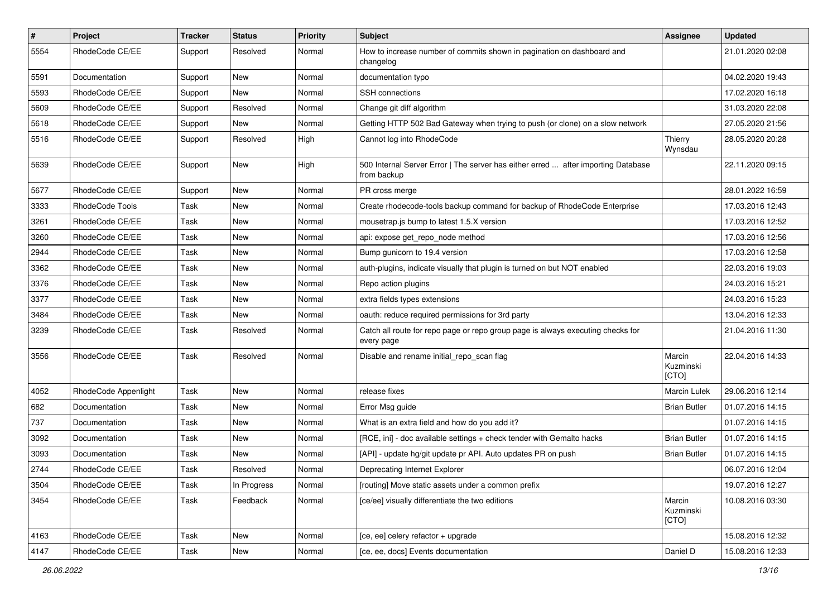| $\sharp$ | Project              | Tracker | <b>Status</b> | <b>Priority</b> | <b>Subject</b>                                                                                   | Assignee                     | <b>Updated</b>   |
|----------|----------------------|---------|---------------|-----------------|--------------------------------------------------------------------------------------------------|------------------------------|------------------|
| 5554     | RhodeCode CE/EE      | Support | Resolved      | Normal          | How to increase number of commits shown in pagination on dashboard and<br>changelog              |                              | 21.01.2020 02:08 |
| 5591     | Documentation        | Support | New           | Normal          | documentation typo                                                                               |                              | 04.02.2020 19:43 |
| 5593     | RhodeCode CE/EE      | Support | New           | Normal          | <b>SSH</b> connections                                                                           |                              | 17.02.2020 16:18 |
| 5609     | RhodeCode CE/EE      | Support | Resolved      | Normal          | Change git diff algorithm                                                                        |                              | 31.03.2020 22:08 |
| 5618     | RhodeCode CE/EE      | Support | New           | Normal          | Getting HTTP 502 Bad Gateway when trying to push (or clone) on a slow network                    |                              | 27.05.2020 21:56 |
| 5516     | RhodeCode CE/EE      | Support | Resolved      | High            | Cannot log into RhodeCode                                                                        | Thierry<br>Wynsdau           | 28.05.2020 20:28 |
| 5639     | RhodeCode CE/EE      | Support | New           | High            | 500 Internal Server Error   The server has either erred  after importing Database<br>from backup |                              | 22.11.2020 09:15 |
| 5677     | RhodeCode CE/EE      | Support | New           | Normal          | PR cross merge                                                                                   |                              | 28.01.2022 16:59 |
| 3333     | RhodeCode Tools      | Task    | New           | Normal          | Create rhodecode-tools backup command for backup of RhodeCode Enterprise                         |                              | 17.03.2016 12:43 |
| 3261     | RhodeCode CE/EE      | Task    | New           | Normal          | mousetrap.js bump to latest 1.5.X version                                                        |                              | 17.03.2016 12:52 |
| 3260     | RhodeCode CE/EE      | Task    | New           | Normal          | api: expose get_repo_node method                                                                 |                              | 17.03.2016 12:56 |
| 2944     | RhodeCode CE/EE      | Task    | New           | Normal          | Bump gunicorn to 19.4 version                                                                    |                              | 17.03.2016 12:58 |
| 3362     | RhodeCode CE/EE      | Task    | New           | Normal          | auth-plugins, indicate visually that plugin is turned on but NOT enabled                         |                              | 22.03.2016 19:03 |
| 3376     | RhodeCode CE/EE      | Task    | New           | Normal          | Repo action plugins                                                                              |                              | 24.03.2016 15:21 |
| 3377     | RhodeCode CE/EE      | Task    | New           | Normal          | extra fields types extensions                                                                    |                              | 24.03.2016 15:23 |
| 3484     | RhodeCode CE/EE      | Task    | <b>New</b>    | Normal          | oauth: reduce required permissions for 3rd party                                                 |                              | 13.04.2016 12:33 |
| 3239     | RhodeCode CE/EE      | Task    | Resolved      | Normal          | Catch all route for repo page or repo group page is always executing checks for<br>every page    |                              | 21.04.2016 11:30 |
| 3556     | RhodeCode CE/EE      | Task    | Resolved      | Normal          | Disable and rename initial repo scan flag                                                        | Marcin<br>Kuzminski<br>[CTO] | 22.04.2016 14:33 |
| 4052     | RhodeCode Appenlight | Task    | New           | Normal          | release fixes                                                                                    | <b>Marcin Lulek</b>          | 29.06.2016 12:14 |
| 682      | Documentation        | Task    | New           | Normal          | Error Msg guide                                                                                  | <b>Brian Butler</b>          | 01.07.2016 14:15 |
| 737      | Documentation        | Task    | New           | Normal          | What is an extra field and how do you add it?                                                    |                              | 01.07.2016 14:15 |
| 3092     | Documentation        | Task    | New           | Normal          | [RCE, ini] - doc available settings + check tender with Gemalto hacks                            | <b>Brian Butler</b>          | 01.07.2016 14:15 |
| 3093     | Documentation        | Task    | <b>New</b>    | Normal          | [API] - update hg/git update pr API. Auto updates PR on push                                     | <b>Brian Butler</b>          | 01.07.2016 14:15 |
| 2744     | RhodeCode CE/EE      | Task    | Resolved      | Normal          | Deprecating Internet Explorer                                                                    |                              | 06.07.2016 12:04 |
| 3504     | RhodeCode CE/EE      | Task    | In Progress   | Normal          | [routing] Move static assets under a common prefix                                               |                              | 19.07.2016 12:27 |
| 3454     | RhodeCode CE/EE      | Task    | Feedback      | Normal          | [ce/ee] visually differentiate the two editions                                                  | Marcin<br>Kuzminski<br>[CTO] | 10.08.2016 03:30 |
| 4163     | RhodeCode CE/EE      | Task    | New           | Normal          | [ce, ee] celery refactor + upgrade                                                               |                              | 15.08.2016 12:32 |
| 4147     | RhodeCode CE/EE      | Task    | New           | Normal          | [ce, ee, docs] Events documentation                                                              | Daniel D                     | 15.08.2016 12:33 |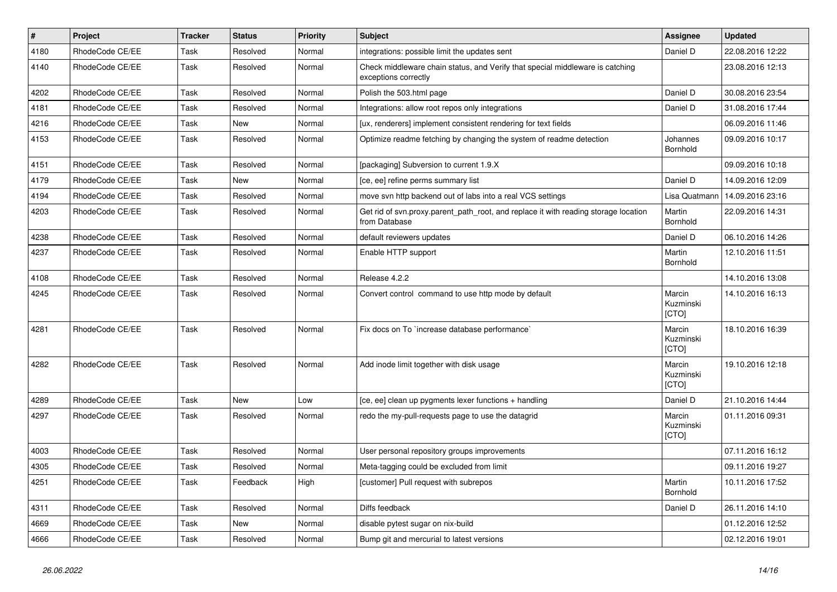| $\vert$ # | Project         | <b>Tracker</b> | <b>Status</b> | <b>Priority</b> | Subject                                                                                               | Assignee                            | <b>Updated</b>   |
|-----------|-----------------|----------------|---------------|-----------------|-------------------------------------------------------------------------------------------------------|-------------------------------------|------------------|
| 4180      | RhodeCode CE/EE | Task           | Resolved      | Normal          | integrations: possible limit the updates sent                                                         | Daniel D                            | 22.08.2016 12:22 |
| 4140      | RhodeCode CE/EE | Task           | Resolved      | Normal          | Check middleware chain status, and Verify that special middleware is catching<br>exceptions correctly |                                     | 23.08.2016 12:13 |
| 4202      | RhodeCode CE/EE | Task           | Resolved      | Normal          | Polish the 503.html page                                                                              | Daniel D                            | 30.08.2016 23:54 |
| 4181      | RhodeCode CE/EE | Task           | Resolved      | Normal          | Integrations: allow root repos only integrations                                                      | Daniel D                            | 31.08.2016 17:44 |
| 4216      | RhodeCode CE/EE | Task           | New           | Normal          | [ux, renderers] implement consistent rendering for text fields                                        |                                     | 06.09.2016 11:46 |
| 4153      | RhodeCode CE/EE | Task           | Resolved      | Normal          | Optimize readme fetching by changing the system of readme detection                                   | Johannes<br>Bornhold                | 09.09.2016 10:17 |
| 4151      | RhodeCode CE/EE | Task           | Resolved      | Normal          | [packaging] Subversion to current 1.9.X                                                               |                                     | 09.09.2016 10:18 |
| 4179      | RhodeCode CE/EE | Task           | New           | Normal          | [ce, ee] refine perms summary list                                                                    | Daniel D                            | 14.09.2016 12:09 |
| 4194      | RhodeCode CE/EE | Task           | Resolved      | Normal          | move svn http backend out of labs into a real VCS settings                                            | Lisa Quatmann                       | 14.09.2016 23:16 |
| 4203      | RhodeCode CE/EE | Task           | Resolved      | Normal          | Get rid of svn.proxy.parent_path_root, and replace it with reading storage location<br>from Database  | Martin<br>Bornhold                  | 22.09.2016 14:31 |
| 4238      | RhodeCode CE/EE | Task           | Resolved      | Normal          | default reviewers updates                                                                             | Daniel D                            | 06.10.2016 14:26 |
| 4237      | RhodeCode CE/EE | Task           | Resolved      | Normal          | Enable HTTP support                                                                                   | Martin<br>Bornhold                  | 12.10.2016 11:51 |
| 4108      | RhodeCode CE/EE | Task           | Resolved      | Normal          | Release 4.2.2                                                                                         |                                     | 14.10.2016 13:08 |
| 4245      | RhodeCode CE/EE | Task           | Resolved      | Normal          | Convert control command to use http mode by default                                                   | Marcin<br>Kuzminski<br>[CTO]        | 14.10.2016 16:13 |
| 4281      | RhodeCode CE/EE | Task           | Resolved      | Normal          | Fix docs on To `increase database performance`                                                        | Marcin<br>Kuzminski<br>[CTO]        | 18.10.2016 16:39 |
| 4282      | RhodeCode CE/EE | Task           | Resolved      | Normal          | Add inode limit together with disk usage                                                              | Marcin<br>Kuzminski<br><b>[CTO]</b> | 19.10.2016 12:18 |
| 4289      | RhodeCode CE/EE | Task           | <b>New</b>    | Low             | [ce, ee] clean up pygments lexer functions + handling                                                 | Daniel D                            | 21.10.2016 14:44 |
| 4297      | RhodeCode CE/EE | Task           | Resolved      | Normal          | redo the my-pull-requests page to use the datagrid                                                    | Marcin<br>Kuzminski<br>[CTO]        | 01.11.2016 09:31 |
| 4003      | RhodeCode CE/EE | Task           | Resolved      | Normal          | User personal repository groups improvements                                                          |                                     | 07.11.2016 16:12 |
| 4305      | RhodeCode CE/EE | Task           | Resolved      | Normal          | Meta-tagging could be excluded from limit                                                             |                                     | 09.11.2016 19:27 |
| 4251      | RhodeCode CE/EE | Task           | Feedback      | High            | [customer] Pull request with subrepos                                                                 | Martin<br>Bornhold                  | 10.11.2016 17:52 |
| 4311      | RhodeCode CE/EE | Task           | Resolved      | Normal          | Diffs feedback                                                                                        | Daniel D                            | 26.11.2016 14:10 |
| 4669      | RhodeCode CE/EE | Task           | <b>New</b>    | Normal          | disable pytest sugar on nix-build                                                                     |                                     | 01.12.2016 12:52 |
| 4666      | RhodeCode CE/EE | Task           | Resolved      | Normal          | Bump git and mercurial to latest versions                                                             |                                     | 02.12.2016 19:01 |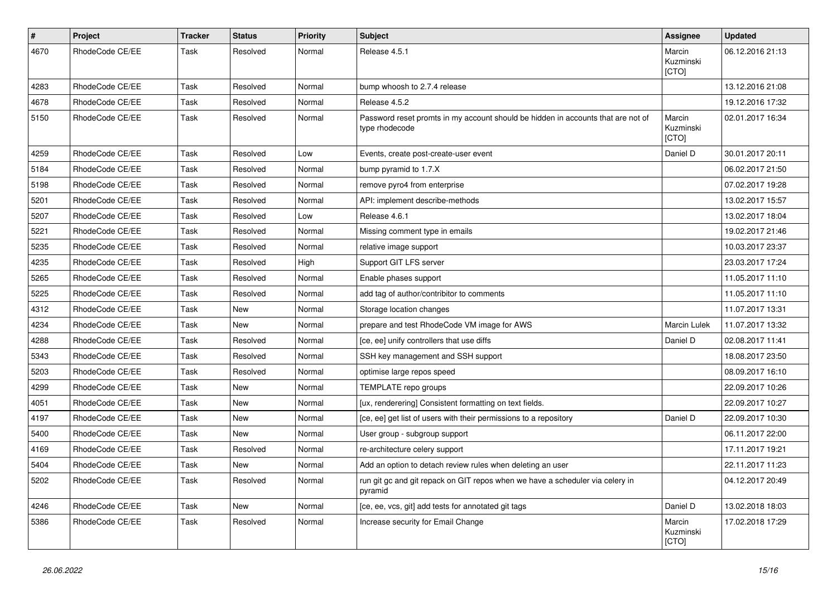| $\pmb{\#}$ | Project         | <b>Tracker</b> | <b>Status</b> | <b>Priority</b> | <b>Subject</b>                                                                                     | <b>Assignee</b>              | <b>Updated</b>   |
|------------|-----------------|----------------|---------------|-----------------|----------------------------------------------------------------------------------------------------|------------------------------|------------------|
| 4670       | RhodeCode CE/EE | Task           | Resolved      | Normal          | Release 4.5.1                                                                                      | Marcin<br>Kuzminski<br>[CTO] | 06.12.2016 21:13 |
| 4283       | RhodeCode CE/EE | Task           | Resolved      | Normal          | bump whoosh to 2.7.4 release                                                                       |                              | 13.12.2016 21:08 |
| 4678       | RhodeCode CE/EE | Task           | Resolved      | Normal          | Release 4.5.2                                                                                      |                              | 19.12.2016 17:32 |
| 5150       | RhodeCode CE/EE | Task           | Resolved      | Normal          | Password reset promts in my account should be hidden in accounts that are not of<br>type rhodecode | Marcin<br>Kuzminski<br>[CTO] | 02.01.2017 16:34 |
| 4259       | RhodeCode CE/EE | Task           | Resolved      | Low             | Events, create post-create-user event                                                              | Daniel D                     | 30.01.2017 20:11 |
| 5184       | RhodeCode CE/EE | Task           | Resolved      | Normal          | bump pyramid to 1.7.X                                                                              |                              | 06.02.2017 21:50 |
| 5198       | RhodeCode CE/EE | Task           | Resolved      | Normal          | remove pyro4 from enterprise                                                                       |                              | 07.02.2017 19:28 |
| 5201       | RhodeCode CE/EE | Task           | Resolved      | Normal          | API: implement describe-methods                                                                    |                              | 13.02.2017 15:57 |
| 5207       | RhodeCode CE/EE | Task           | Resolved      | Low             | Release 4.6.1                                                                                      |                              | 13.02.2017 18:04 |
| 5221       | RhodeCode CE/EE | Task           | Resolved      | Normal          | Missing comment type in emails                                                                     |                              | 19.02.2017 21:46 |
| 5235       | RhodeCode CE/EE | Task           | Resolved      | Normal          | relative image support                                                                             |                              | 10.03.2017 23:37 |
| 4235       | RhodeCode CE/EE | Task           | Resolved      | High            | Support GIT LFS server                                                                             |                              | 23.03.2017 17:24 |
| 5265       | RhodeCode CE/EE | Task           | Resolved      | Normal          | Enable phases support                                                                              |                              | 11.05.2017 11:10 |
| 5225       | RhodeCode CE/EE | Task           | Resolved      | Normal          | add tag of author/contribitor to comments                                                          |                              | 11.05.2017 11:10 |
| 4312       | RhodeCode CE/EE | Task           | <b>New</b>    | Normal          | Storage location changes                                                                           |                              | 11.07.2017 13:31 |
| 4234       | RhodeCode CE/EE | Task           | <b>New</b>    | Normal          | prepare and test RhodeCode VM image for AWS                                                        | <b>Marcin Lulek</b>          | 11.07.2017 13:32 |
| 4288       | RhodeCode CE/EE | Task           | Resolved      | Normal          | [ce, ee] unify controllers that use diffs                                                          | Daniel D                     | 02.08.2017 11:41 |
| 5343       | RhodeCode CE/EE | Task           | Resolved      | Normal          | SSH key management and SSH support                                                                 |                              | 18.08.2017 23:50 |
| 5203       | RhodeCode CE/EE | Task           | Resolved      | Normal          | optimise large repos speed                                                                         |                              | 08.09.2017 16:10 |
| 4299       | RhodeCode CE/EE | Task           | <b>New</b>    | Normal          | TEMPLATE repo groups                                                                               |                              | 22.09.2017 10:26 |
| 4051       | RhodeCode CE/EE | Task           | <b>New</b>    | Normal          | [ux, renderering] Consistent formatting on text fields.                                            |                              | 22.09.2017 10:27 |
| 4197       | RhodeCode CE/EE | Task           | New           | Normal          | [ce, ee] get list of users with their permissions to a repository                                  | Daniel D                     | 22.09.2017 10:30 |
| 5400       | RhodeCode CE/EE | Task           | New           | Normal          | User group - subgroup support                                                                      |                              | 06.11.2017 22:00 |
| 4169       | RhodeCode CE/EE | Task           | Resolved      | Normal          | re-architecture celery support                                                                     |                              | 17.11.2017 19:21 |
| 5404       | RhodeCode CE/EE | Task           | New           | Normal          | Add an option to detach review rules when deleting an user                                         |                              | 22.11.2017 11:23 |
| 5202       | RhodeCode CE/EE | Task           | Resolved      | Normal          | run git gc and git repack on GIT repos when we have a scheduler via celery in<br>pyramid           |                              | 04.12.2017 20:49 |
| 4246       | RhodeCode CE/EE | Task           | New           | Normal          | [ce, ee, vcs, git] add tests for annotated git tags                                                | Daniel D                     | 13.02.2018 18:03 |
| 5386       | RhodeCode CE/EE | Task           | Resolved      | Normal          | Increase security for Email Change                                                                 | Marcin<br>Kuzminski<br>[CTO] | 17.02.2018 17:29 |